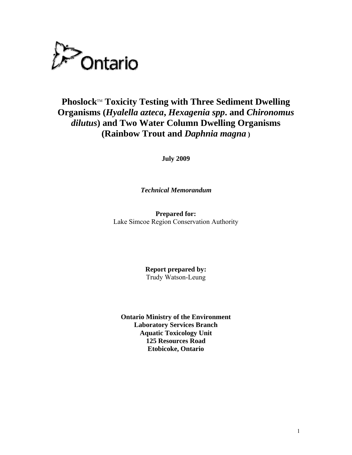

## **Phoslock™ Toxicity Testing with Three Sediment Dwelling Organisms (***Hyalella azteca***,** *Hexagenia spp***. and** *Chironomus dilutus***) and Two Water Column Dwelling Organisms (Rainbow Trout and** *Daphnia magna* **)**

**July 2009** 

*Technical Memorandum* 

**Prepared for:**  Lake Simcoe Region Conservation Authority

> **Report prepared by:** Trudy Watson-Leung

**Ontario Ministry of the Environment Laboratory Services Branch Aquatic Toxicology Unit 125 Resources Road Etobicoke, Ontario**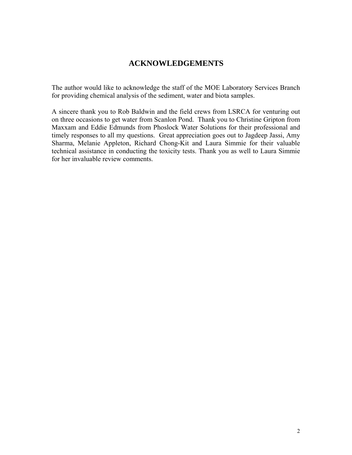## **ACKNOWLEDGEMENTS**

The author would like to acknowledge the staff of the MOE Laboratory Services Branch for providing chemical analysis of the sediment, water and biota samples.

A sincere thank you to Rob Baldwin and the field crews from LSRCA for venturing out on three occasions to get water from Scanlon Pond. Thank you to Christine Gripton from Maxxam and Eddie Edmunds from Phoslock Water Solutions for their professional and timely responses to all my questions. Great appreciation goes out to Jagdeep Jassi, Amy Sharma, Melanie Appleton, Richard Chong-Kit and Laura Simmie for their valuable technical assistance in conducting the toxicity tests. Thank you as well to Laura Simmie for her invaluable review comments.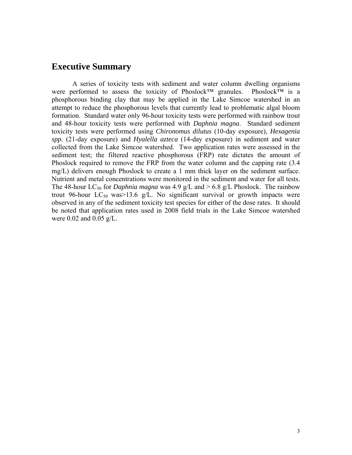## **Executive Summary**

 A series of toxicity tests with sediment and water column dwelling organisms were performed to assess the toxicity of Phoslock™ granules. Phoslock™ is a phosphorous binding clay that may be applied in the Lake Simcoe watershed in an attempt to reduce the phosphorous levels that currently lead to problematic algal bloom formation. Standard water only 96-hour toxicity tests were performed with rainbow trout and 48-hour toxicity tests were performed with *Daphnia magna*. Standard sediment toxicity tests were performed using *Chironomus dilutus* (10-day exposure), *Hexagenia spp.* (21-day exposure) and *Hyalella azteca* (14-day exposure) in sediment and water collected from the Lake Simcoe watershed. Two application rates were assessed in the sediment test; the filtered reactive phosphorous (FRP) rate dictates the amount of Phoslock required to remove the FRP from the water column and the capping rate (3.4 mg/L) delivers enough Phoslock to create a 1 mm thick layer on the sediment surface. Nutrient and metal concentrations were monitored in the sediment and water for all tests. The 48-hour LC<sub>50</sub> for *Daphnia magna* was 4.9 g/L and  $> 6.8$  g/L Phoslock. The rainbow trout 96-hour LC<sub>50</sub> was  $>13.6$  g/L. No significant survival or growth impacts were observed in any of the sediment toxicity test species for either of the dose rates. It should be noted that application rates used in 2008 field trials in the Lake Simcoe watershed were 0.02 and 0.05 g/L.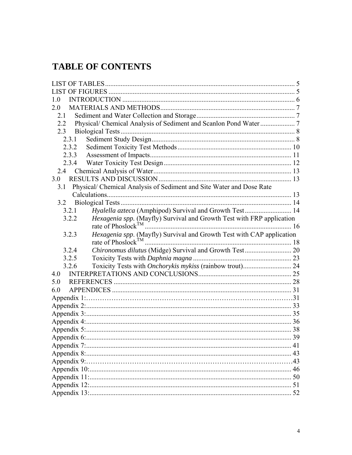## **TABLE OF CONTENTS**

| 1.0                                                                                   |    |
|---------------------------------------------------------------------------------------|----|
| 2.0                                                                                   |    |
| 2.1                                                                                   |    |
| 2.2                                                                                   |    |
| 2.3                                                                                   |    |
| 2.3.1                                                                                 |    |
| 2.3.2                                                                                 |    |
| 2.3.3                                                                                 |    |
| 2.3.4                                                                                 |    |
| 2.4                                                                                   |    |
| 3.0                                                                                   |    |
| Physical/ Chemical Analysis of Sediment and Site Water and Dose Rate<br>3.1           |    |
|                                                                                       |    |
| 3.2                                                                                   |    |
| Hyalella azteca (Amphipod) Survival and Growth Test 14<br>3.2.1                       |    |
| <i>Hexagenia spp.</i> (Mayfly) Survival and Growth Test with FRP application<br>3.2.2 |    |
| rate of Phoslock <sup>TM</sup>                                                        |    |
| Hexagenia spp. (Mayfly) Survival and Growth Test with CAP application<br>3.2.3        |    |
| rate of Phoslock <sup>TM</sup>                                                        |    |
| 3.2.4                                                                                 |    |
| 3.2.5                                                                                 |    |
| Toxicity Tests with Onchorykis mykiss (rainbow trout) 24<br>3.2.6                     |    |
| 4.0                                                                                   |    |
| 5.0                                                                                   |    |
| 6.0                                                                                   |    |
|                                                                                       |    |
|                                                                                       |    |
|                                                                                       |    |
|                                                                                       |    |
|                                                                                       |    |
|                                                                                       | 39 |
|                                                                                       |    |
|                                                                                       |    |
|                                                                                       |    |
|                                                                                       |    |
|                                                                                       |    |
|                                                                                       |    |
|                                                                                       |    |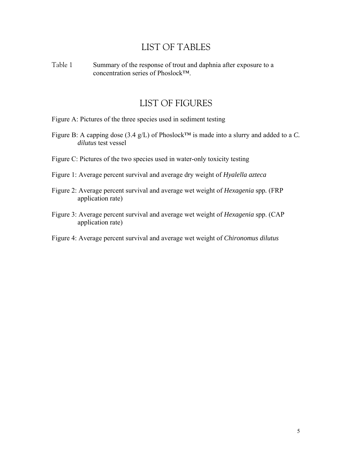## LIST OF TABLES

<span id="page-4-0"></span>Table 1 Summary of the response of trout and daphnia after exposure to a concentration series of Phoslock™.

## LIST OF FIGURES

Figure A: Pictures of the three species used in sediment testing

- Figure B: A capping dose (3.4 g/L) of Phoslock™ is made into a slurry and added to a *C. dilutus* test vessel
- Figure C: Pictures of the two species used in water-only toxicity testing
- Figure 1: Average percent survival and average dry weight of *Hyalella azteca*
- Figure 2: Average percent survival and average wet weight of *Hexagenia* spp*.* (FRP application rate)
- Figure 3: Average percent survival and average wet weight of *Hexagenia* spp. (CAP application rate)
- Figure 4: Average percent survival and average wet weight of *Chironomus dilutus*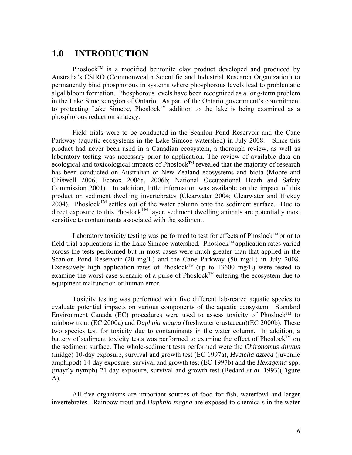## <span id="page-5-0"></span>**1.0 INTRODUCTION**

Phoslock<sup>TM</sup> is a modified bentonite clay product developed and produced by Australia's CSIRO (Commonwealth Scientific and Industrial Research Organization) to permanently bind phosphorous in systems where phosphorous levels lead to problematic algal bloom formation. Phosphorous levels have been recognized as a long-term problem in the Lake Simcoe region of Ontario. As part of the Ontario government's commitment to protecting Lake Simcoe, Phoslock<sup>TM</sup> addition to the lake is being examined as a phosphorous reduction strategy.

Field trials were to be conducted in the Scanlon Pond Reservoir and the Cane Parkway (aquatic ecosystems in the Lake Simcoe watershed) in July 2008. Since this product had never been used in a Canadian ecosystem, a thorough review, as well as laboratory testing was necessary prior to application. The review of available data on ecological and toxicological impacts of Phoslock<sup>TM</sup> revealed that the majority of research has been conducted on Australian or New Zealand ecosystems and biota (Moore and Chiswell 2006; Ecotox 2006a, 2006b; National Occupational Heath and Safety Commission 2001). In addition, little information was available on the impact of this product on sediment dwelling invertebrates (Clearwater 2004; Clearwater and Hickey 2004). Phoslock<sup>TM</sup> settles out of the water column onto the sediment surface. Due to direct exposure to this Phoslock<sup>TM</sup> layer, sediment dwelling animals are potentially most sensitive to contaminants associated with the sediment.

Laboratory toxicity testing was performed to test for effects of Phoslock<sup>TM</sup> prior to field trial applications in the Lake Simcoe watershed. Phoslock<sup>TM</sup> application rates varied across the tests performed but in most cases were much greater than that applied in the Scanlon Pond Reservoir (20 mg/L) and the Cane Parkway (50 mg/L) in July 2008. Excessively high application rates of Phoslock<sup>TM</sup> (up to 13600 mg/L) were tested to examine the worst-case scenario of a pulse of Phoslock<sup>TM</sup> entering the ecosystem due to equipment malfunction or human error.

Toxicity testing was performed with five different lab-reared aquatic species to evaluate potential impacts on various components of the aquatic ecosystem. Standard Environment Canada (EC) procedures were used to assess toxicity of Phoslock<sup>TM</sup> to rainbow trout (EC 2000a) and *Daphnia magna* (freshwater crustacean)(EC 2000b). These two species test for toxicity due to contaminants in the water column. In addition, a battery of sediment toxicity tests was performed to examine the effect of Phoslock<sup>TM</sup> on the sediment surface. The whole-sediment tests performed were the *Chironomus dilutus* (midge) 10-day exposure, survival and growth test (EC 1997a), *Hyalella azteca* (juvenile amphipod) 14-day exposure, survival and growth test (EC 1997b) and the *Hexagenia* spp*.* (mayfly nymph) 21-day exposure, survival and growth test (Bedard *et al.* 1993)(Figure A).

All five organisms are important sources of food for fish, waterfowl and larger invertebrates. Rainbow trout and *Daphnia magna* are exposed to chemicals in the water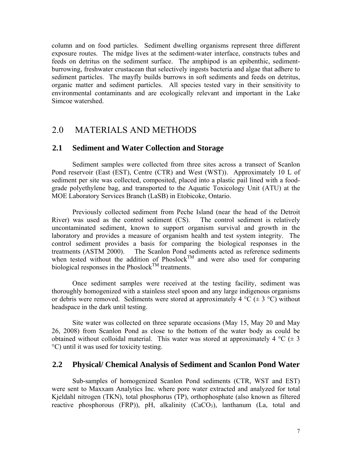<span id="page-6-0"></span>column and on food particles. Sediment dwelling organisms represent three different exposure routes. The midge lives at the sediment-water interface, constructs tubes and feeds on detritus on the sediment surface. The amphipod is an epibenthic, sedimentburrowing, freshwater crustacean that selectively ingests bacteria and algae that adhere to sediment particles. The mayfly builds burrows in soft sediments and feeds on detritus, organic matter and sediment particles. All species tested vary in their sensitivity to environmental contaminants and are ecologically relevant and important in the Lake Simcoe watershed.

## 2.0 MATERIALS AND METHODS

### **2.1 Sediment and Water Collection and Storage**

Sediment samples were collected from three sites across a transect of Scanlon Pond reservoir (East (EST), Centre (CTR) and West (WST)). Approximately 10 L of sediment per site was collected, composited, placed into a plastic pail lined with a foodgrade polyethylene bag, and transported to the Aquatic Toxicology Unit (ATU) at the MOE Laboratory Services Branch (LaSB) in Etobicoke, Ontario.

Previously collected sediment from Peche Island (near the head of the Detroit River) was used as the control sediment (CS). The control sediment is relatively uncontaminated sediment, known to support organism survival and growth in the laboratory and provides a measure of organism health and test system integrity. The control sediment provides a basis for comparing the biological responses in the treatments (ASTM 2000). The Scanlon Pond sediments acted as reference sediments when tested without the addition of  $Phoslock^{TM}$  and were also used for comparing biological responses in the Phoslock<sup>TM</sup> treatments.

Once sediment samples were received at the testing facility, sediment was thoroughly homogenized with a stainless steel spoon and any large indigenous organisms or debris were removed. Sediments were stored at approximately 4 °C ( $\pm$  3 °C) without headspace in the dark until testing.

Site water was collected on three separate occasions (May 15, May 20 and May 26, 2008) from Scanlon Pond as close to the bottom of the water body as could be obtained without colloidal material. This water was stored at approximately 4  $^{\circ}C$  ( $\pm$  3 °C) until it was used for toxicity testing.

### **2.2 Physical/ Chemical Analysis of Sediment and Scanlon Pond Water**

Sub-samples of homogenized Scanlon Pond sediments (CTR, WST and EST) were sent to Maxxam Analytics Inc. where pore water extracted and analyzed for total Kjeldahl nitrogen (TKN), total phosphorus (TP), orthophosphate (also known as filtered reactive phosphorous (FRP)), pH, alkalinity  $(CaCO<sub>3</sub>)$ , lanthanum (La, total and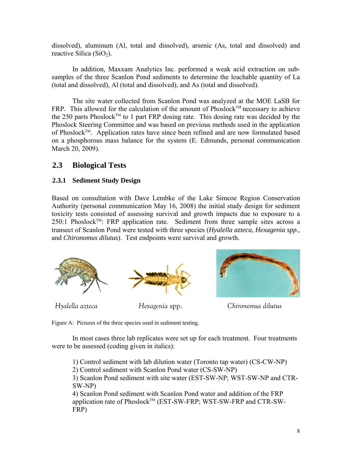<span id="page-7-0"></span>dissolved), aluminum (Al, total and dissolved), arsenic (As, total and dissolved) and reactive Silica  $(SiO<sub>2</sub>)$ .

In addition, Maxxam Analytics Inc. performed a weak acid extraction on subsamples of the three Scanlon Pond sediments to determine the leachable quantity of La (total and dissolved), Al (total and dissolved), and As (total and dissolved).

The site water collected from Scanlon Pond was analyzed at the MOE LaSB for FRP. This allowed for the calculation of the amount of Phoslock<sup>TM</sup> necessary to achieve the 250 parts Phoslock<sup>TM</sup> to 1 part FRP dosing rate. This dosing rate was decided by the Phoslock Steering Committee and was based on previous methods used in the application of Phoslock™. Application rates have since been refined and are now formulated based on a phosphorous mass balance for the system (E. Edmunds, personal communication March 20, 2009).

## **2.3 Biological Tests**

### **2.3.1 Sediment Study Design**

Based on consultation with Dave Lembke of the Lake Simcoe Region Conservation Authority (personal communication May 16, 2008) the initial study design for sediment toxicity tests consisted of assessing survival and growth impacts due to exposure to a  $250:1$  Phoslock<sup>TM</sup>: FRP application rate. Sediment from three sample sites across a transect of Scanlon Pond were tested with three species (*Hyalella azteca, Hexagenia spp.,*  and *Chironomus dilutus*). Test endpoints were survival and growth.



Figure A: Pictures of the three species used in sediment testing.

In most cases three lab replicates were set up for each treatment. Four treatments were to be assessed (coding given in italics):

1) Control sediment with lab dilution water (Toronto tap water) (CS-CW-NP) 2) Control sediment with Scanlon Pond water (CS-SW-NP) 3) Scanlon Pond sediment with site water (EST-SW-NP; WST-SW-NP and CTR-SW-NP) 4) Scanlon Pond sediment with Scanlon Pond water and addition of the FRP application rate of Phoslock™ (EST-SW-FRP; WST-SW-FRP and CTR-SW-FRP)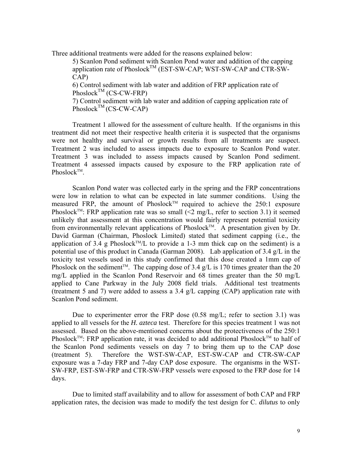Three additional treatments were added for the reasons explained below:

5) Scanlon Pond sediment with Scanlon Pond water and addition of the capping application rate of Phoslock<sup>TM</sup> (EST-SW-CAP; WST-SW-CAP and CTR-SW-CAP)

6) Control sediment with lab water and addition of FRP application rate of Phoslock<sup>TM</sup> (CS-CW-FRP)

7) Control sediment with lab water and addition of capping application rate of  $Phoslock^{TM} (CS-CW-CAP)$ 

Treatment 1 allowed for the assessment of culture health. If the organisms in this treatment did not meet their respective health criteria it is suspected that the organisms were not healthy and survival or growth results from all treatments are suspect. Treatment 2 was included to assess impacts due to exposure to Scanlon Pond water. Treatment 3 was included to assess impacts caused by Scanlon Pond sediment. Treatment 4 assessed impacts caused by exposure to the FRP application rate of Phoslock<sup>TM</sup>.

Scanlon Pond water was collected early in the spring and the FRP concentrations were low in relation to what can be expected in late summer conditions. Using the measured FRP, the amount of Phoslock<sup>TM</sup> required to achieve the 250:1 exposure Phoslock<sup>TM</sup>: FRP application rate was so small  $\leq 2$  mg/L, refer to section 3.1) it seemed unlikely that assessment at this concentration would fairly represent potential toxicity from environmentally relevant applications of Phoslock<sup>TM</sup>. A presentation given by Dr. David Garman (Chairman, Phoslock Limited) stated that sediment capping (i.e., the application of 3.4 g Phoslock<sup>TM</sup>/L to provide a 1-3 mm thick cap on the sediment) is a potential use of this product in Canada (Garman 2008). Lab application of 3.4 g/L in the toxicity test vessels used in this study confirmed that this dose created a 1mm cap of Phoslock on the sediment<sup>TM</sup>. The capping dose of 3.4 g/L is 170 times greater than the 20 mg/L applied in the Scanlon Pond Reservoir and 68 times greater than the 50 mg/L applied to Cane Parkway in the July 2008 field trials. Additional test treatments (treatment 5 and 7) were added to assess a 3.4 g/L capping (CAP) application rate with Scanlon Pond sediment.

Due to experimenter error the FRP dose  $(0.58 \text{ mg/L})$ ; refer to section 3.1) was applied to all vessels for the *H. azteca* test. Therefore for this species treatment 1 was not assessed. Based on the above-mentioned concerns about the protectiveness of the 250:1 Phoslock<sup>TM</sup>: FRP application rate, it was decided to add additional Phoslock<sup>TM</sup> to half of the Scanlon Pond sediments vessels on day 7 to bring them up to the CAP dose (treatment 5). Therefore the WST-SW-CAP, EST-SW-CAP and CTR-SW-CAP exposure was a 7-day FRP and 7-day CAP dose exposure. The organisms in the WST-SW-FRP, EST-SW-FRP and CTR-SW-FRP vessels were exposed to the FRP dose for 14 days.

Due to limited staff availability and to allow for assessment of both CAP and FRP application rates, the decision was made to modify the test design for C. *dilutus* to only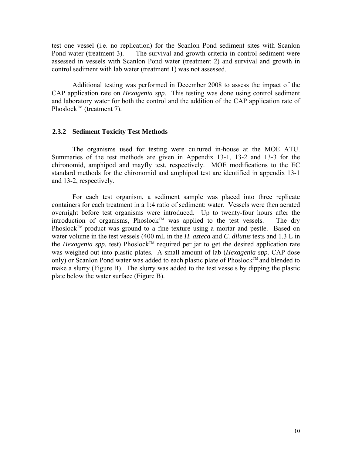<span id="page-9-0"></span>test one vessel (i.e. no replication) for the Scanlon Pond sediment sites with Scanlon Pond water (treatment 3). The survival and growth criteria in control sediment were assessed in vessels with Scanlon Pond water (treatment 2) and survival and growth in control sediment with lab water (treatment 1) was not assessed.

Additional testing was performed in December 2008 to assess the impact of the CAP application rate on *Hexagenia spp.* This testing was done using control sediment and laboratory water for both the control and the addition of the CAP application rate of Phoslock<sup>TM</sup> (treatment 7).

### **2.3.2 Sediment Toxicity Test Methods**

The organisms used for testing were cultured in-house at the MOE ATU. Summaries of the test methods are given in Appendix 13-1, 13-2 and 13-3 for the chironomid, amphipod and mayfly test, respectively. MOE modifications to the EC standard methods for the chironomid and amphipod test are identified in appendix 13-1 and 13-2, respectively.

For each test organism, a sediment sample was placed into three replicate containers for each treatment in a 1:4 ratio of sediment: water. Vessels were then aerated overnight before test organisms were introduced. Up to twenty-four hours after the  $introduction of organisms, Phoslock<sup>TM</sup> was applied to the test vessels. The dry$ Phoslock<sup>™</sup> product was ground to a fine texture using a mortar and pestle. Based on water volume in the test vessels (400 mL in the *H. azteca* and *C. dilutus* tests and 1.3 L in the *Hexagenia spp.* test) Phoslock<sup>TM</sup> required per jar to get the desired application rate was weighed out into plastic plates. A small amount of lab (*Hexagenia spp.* CAP dose only) or Scanlon Pond water was added to each plastic plate of Phoslock™ and blended to make a slurry (Figure B). The slurry was added to the test vessels by dipping the plastic plate below the water surface (Figure B).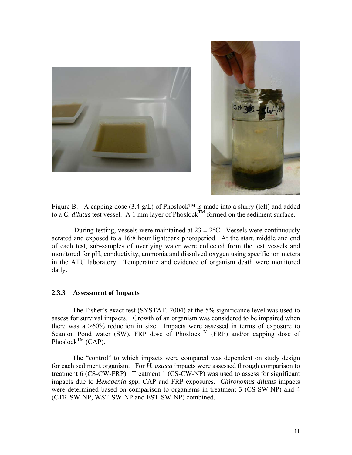<span id="page-10-0"></span>



Figure B: A capping dose (3.4 g/L) of Phoslock<sup>™</sup> is made into a slurry (left) and added to a *C. dilutus* test vessel. A 1 mm layer of Phoslock<sup>TM</sup> formed on the sediment surface.

During testing, vessels were maintained at  $23 \pm 2$ °C. Vessels were continuously aerated and exposed to a 16:8 hour light:dark photoperiod. At the start, middle and end of each test, sub-samples of overlying water were collected from the test vessels and monitored for pH, conductivity, ammonia and dissolved oxygen using specific ion meters in the ATU laboratory. Temperature and evidence of organism death were monitored daily.

### **2.3.3 Assessment of Impacts**

The Fisher's exact test (SYSTAT. 2004) at the 5% significance level was used to assess for survival impacts. Growth of an organism was considered to be impaired when there was a >60% reduction in size. Impacts were assessed in terms of exposure to Scanlon Pond water (SW), FRP dose of Phoslock<sup>TM</sup> (FRP) and/or capping dose of Phoslock<sup>TM</sup> (CAP).

The "control" to which impacts were compared was dependent on study design for each sediment organism. For *H. azteca* impacts were assessed through comparison to treatment 6 (CS-CW-FRP). Treatment 1 (CS-CW-NP) was used to assess for significant impacts due to *Hexagenia spp.* CAP and FRP exposures. *Chironomus dilutus* impacts were determined based on comparison to organisms in treatment 3 (CS-SW-NP) and 4 (CTR-SW-NP, WST-SW-NP and EST-SW-NP) combined.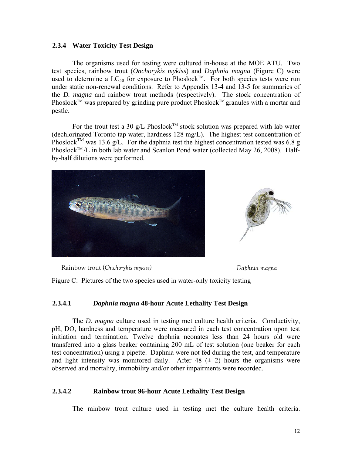### <span id="page-11-0"></span>**2.3.4 Water Toxicity Test Design**

The organisms used for testing were cultured in-house at the MOE ATU. Two test species, rainbow trout (*Onchorykis mykiss*) and *Daphnia magna* (Figure C) were used to determine a  $LC_{50}$  for exposure to Phoslock<sup>TM</sup>. For both species tests were run under static non-renewal conditions. Refer to Appendix 13-4 and 13-5 for summaries of the *D. magna* and rainbow trout methods (respectively). The stock concentration of Phoslock<sup>TM</sup> was prepared by grinding pure product Phoslock<sup>TM</sup> granules with a mortar and pestle.

For the trout test a 30 g/L Phoslock<sup>TM</sup> stock solution was prepared with lab water (dechlorinated Toronto tap water, hardness 128 mg/L). The highest test concentration of Phoslock<sup>TM</sup> was 13.6 g/L. For the daphnia test the highest concentration tested was 6.8 g Phoslock<sup>TM</sup>/L in both lab water and Scanlon Pond water (collected May 26, 2008). Halfby-half dilutions were performed.



Rainbow trout (*Onchorykis mykiss) Daphnia magna* 

Figure C: Pictures of the two species used in water-only toxicity testing

### **2.3.4.1** *Daphnia magna* **48-hour Acute Lethality Test Design**

The *D. magna* culture used in testing met culture health criteria. Conductivity, pH, DO, hardness and temperature were measured in each test concentration upon test initiation and termination. Twelve daphnia neonates less than 24 hours old were transferred into a glass beaker containing 200 mL of test solution (one beaker for each test concentration) using a pipette. Daphnia were not fed during the test, and temperature and light intensity was monitored daily. After  $48 \ (\pm 2)$  hours the organisms were observed and mortality, immobility and/or other impairments were recorded.

### **2.3.4.2 Rainbow trout 96-hour Acute Lethality Test Design**

The rainbow trout culture used in testing met the culture health criteria.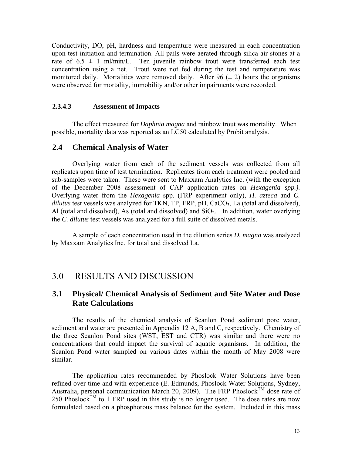<span id="page-12-0"></span>Conductivity, DO, pH, hardness and temperature were measured in each concentration upon test initiation and termination. All pails were aerated through silica air stones at a rate of  $6.5 \pm 1$  ml/min/L. Ten juvenile rainbow trout were transferred each test concentration using a net. Trout were not fed during the test and temperature was monitored daily. Mortalities were removed daily. After 96  $(\pm 2)$  hours the organisms were observed for mortality, immobility and/or other impairments were recorded.

### **2.3.4.3 Assessment of Impacts**

 The effect measured for *Daphnia magna* and rainbow trout was mortality. When possible, mortality data was reported as an LC50 calculated by Probit analysis.

### **2.4 Chemical Analysis of Water**

Overlying water from each of the sediment vessels was collected from all replicates upon time of test termination. Replicates from each treatment were pooled and sub-samples were taken. These were sent to Maxxam Analytics Inc. (with the exception of the December 2008 assessment of CAP application rates on *Hexagenia spp.)*. Overlying water from the *Hexagenia* spp. (FRP experiment only), *H. azteca* and *C.*  dilutus test vessels was analyzed for TKN, TP, FRP, pH, CaCO<sub>3</sub>, La (total and dissolved), Al (total and dissolved), As (total and dissolved) and  $SiO<sub>2</sub>$ . In addition, water overlying the *C. dilutus* test vessels was analyzed for a full suite of dissolved metals.

A sample of each concentration used in the dilution series *D. magna* was analyzed by Maxxam Analytics Inc. for total and dissolved La.

## 3.0 RESULTS AND DISCUSSION

## **3.1 Physical/ Chemical Analysis of Sediment and Site Water and Dose Rate Calculations**

 The results of the chemical analysis of Scanlon Pond sediment pore water, sediment and water are presented in Appendix 12 A, B and C, respectively. Chemistry of the three Scanlon Pond sites (WST, EST and CTR) was similar and there were no concentrations that could impact the survival of aquatic organisms. In addition, the Scanlon Pond water sampled on various dates within the month of May 2008 were similar.

The application rates recommended by Phoslock Water Solutions have been refined over time and with experience (E. Edmunds, Phoslock Water Solutions, Sydney, Australia, personal communication March 20, 2009). The FRP Phoslock<sup>TM</sup> dose rate of 250 Phoslock<sup>TM</sup> to 1 FRP used in this study is no longer used. The dose rates are now formulated based on a phosphorous mass balance for the system. Included in this mass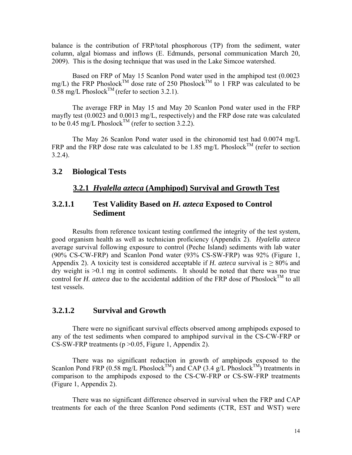<span id="page-13-0"></span>balance is the contribution of FRP/total phosphorous (TP) from the sediment, water column, algal biomass and inflows (E. Edmunds, personal communication March 20, 2009). This is the dosing technique that was used in the Lake Simcoe watershed.

Based on FRP of May 15 Scanlon Pond water used in the amphipod test (0.0023 mg/L) the FRP Phoslock<sup>TM</sup> dose rate of 250 Phoslock<sup>TM</sup> to 1 FRP was calculated to be  $0.58 \text{ mg/L Phoslock}^{\text{TM}}$  (refer to section 3.2.1).

The average FRP in May 15 and May 20 Scanlon Pond water used in the FRP mayfly test (0.0023 and 0.0013 mg/L, respectively) and the FRP dose rate was calculated to be 0.45 mg/L Phoslock<sup>TM</sup> (refer to section 3.2.2).

The May 26 Scanlon Pond water used in the chironomid test had 0.0074 mg/L FRP and the FRP dose rate was calculated to be 1.85 mg/L Phoslock<sup>TM</sup> (refer to section 3.2.4).

### **3.2 Biological Tests**

## **3.2.1** *Hyalella azteca* **(Amphipod) Survival and Growth Test**

## **3.2.1.1 Test Validity Based on** *H. azteca* **Exposed to Control Sediment**

Results from reference toxicant testing confirmed the integrity of the test system, good organism health as well as technician proficiency (Appendix 2). *Hyalella azteca*  average survival following exposure to control (Peche Island) sediments with lab water (90% CS-CW-FRP) and Scanlon Pond water (93% CS-SW-FRP) was 92% (Figure 1, Appendix 2). A toxicity test is considered acceptable if *H. azteca* survival is  $\geq 80\%$  and dry weight is >0.1 mg in control sediments. It should be noted that there was no true control for *H. azteca* due to the accidental addition of the FRP dose of Phoslock<sup>TM</sup> to all test vessels.

### **3.2.1.2 Survival and Growth**

There were no significant survival effects observed among amphipods exposed to any of the test sediments when compared to amphipod survival in the CS-CW-FRP or CS-SW-FRP treatments ( $p > 0.05$ , Figure 1, Appendix 2).

There was no significant reduction in growth of amphipods exposed to the Scanlon Pond FRP (0.58 mg/L Phoslock<sup>TM</sup>) and CAP (3.4 g/L Phoslock<sup>TM</sup>) treatments in comparison to the amphipods exposed to the CS-CW-FRP or CS-SW-FRP treatments (Figure 1, Appendix 2).

There was no significant difference observed in survival when the FRP and CAP treatments for each of the three Scanlon Pond sediments (CTR, EST and WST) were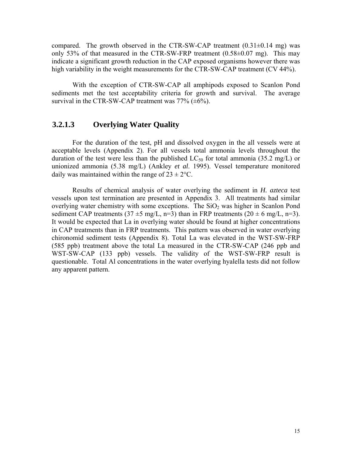compared. The growth observed in the CTR-SW-CAP treatment  $(0.31\pm0.14 \text{ mg})$  was only 53% of that measured in the CTR-SW-FRP treatment (0.58±0.07 mg). This may indicate a significant growth reduction in the CAP exposed organisms however there was high variability in the weight measurements for the CTR-SW-CAP treatment (CV 44%).

With the exception of CTR-SW-CAP all amphipods exposed to Scanlon Pond sediments met the test acceptability criteria for growth and survival. The average survival in the CTR-SW-CAP treatment was  $77\%$  ( $\pm 6\%$ ).

## **3.2.1.3 Overlying Water Quality**

For the duration of the test, pH and dissolved oxygen in the all vessels were at acceptable levels (Appendix 2). For all vessels total ammonia levels throughout the duration of the test were less than the published  $LC_{50}$  for total ammonia (35.2 mg/L) or unionized ammonia (5.38 mg/L) (Ankley *et al*. 1995). Vessel temperature monitored daily was maintained within the range of  $23 \pm 2$ °C.

Results of chemical analysis of water overlying the sediment in *H. azteca* test vessels upon test termination are presented in Appendix 3. All treatments had similar overlying water chemistry with some exceptions. The  $SiO<sub>2</sub>$  was higher in Scanlon Pond sediment CAP treatments (37  $\pm$ 5 mg/L, n=3) than in FRP treatments (20  $\pm$  6 mg/L, n=3). It would be expected that La in overlying water should be found at higher concentrations in CAP treatments than in FRP treatments. This pattern was observed in water overlying chironomid sediment tests (Appendix 8). Total La was elevated in the WST-SW-FRP (585 ppb) treatment above the total La measured in the CTR-SW-CAP (246 ppb and WST-SW-CAP (133 ppb) vessels. The validity of the WST-SW-FRP result is questionable. Total Al concentrations in the water overlying hyalella tests did not follow any apparent pattern.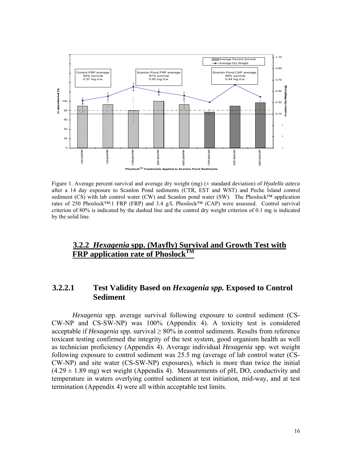<span id="page-15-0"></span>

Figure 1. Average percent survival and average dry weight (mg) (± standard deviation) of *Hyalella azteca* after a 14 day exposure to Scanlon Pond sediments (CTR, EST and WST) and Peche Island control sediment (CS) with lab control water (CW) and Scanlon pond water (SW). The Phoslock™ application rates of 250 Phoslock™:1 FRP (FRP) and 3.4 g/L Phoslock™ (CAP) were assessed. Control survival criterion of 80% is indicated by the dashed line and the control dry weight criterion of 0.1 mg is indicated by the solid line.

## **3.2.2** *Hexagenia* **spp. (Mayfly) Survival and Growth Test with FRP** application rate of Phoslock<sup>TM</sup>

## **3.2.2.1 Test Validity Based on** *Hexagenia spp.* **Exposed to Control Sediment**

*Hexagenia* spp. average survival following exposure to control sediment (CS-CW-NP and CS-SW-NP) was 100% (Appendix 4). A toxicity test is considered acceptable if *Hexagenia* spp. survival  $\geq 80\%$  in control sediments. Results from reference toxicant testing confirmed the integrity of the test system, good organism health as well as technician proficiency (Appendix 4). Average individual *Hexagenia* spp. wet weight following exposure to control sediment was 25.5 mg (average of lab control water (CS-CW-NP) and site water (CS-SW-NP) exposures), which is more than twice the initial  $(4.29 \pm 1.89 \text{ mg})$  wet weight (Appendix 4). Measurements of pH, DO, conductivity and temperature in waters overlying control sediment at test initiation, mid-way, and at test termination (Appendix 4) were all within acceptable test limits.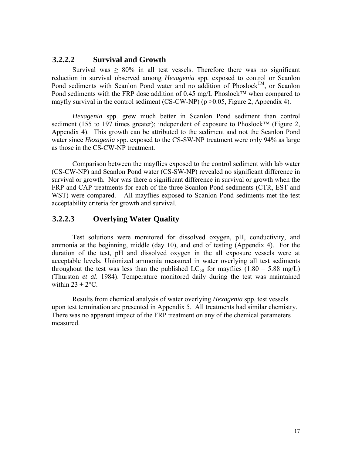### **3.2.2.2 Survival and Growth**

Survival was  $\geq 80\%$  in all test vessels. Therefore there was no significant reduction in survival observed among *Hexagenia* spp*.* exposed to control or Scanlon Pond sediments with Scanlon Pond water and no addition of Phoslock<sup>TM</sup>, or Scanlon Pond sediments with the FRP dose addition of 0.45 mg/L Phoslock™ when compared to mayfly survival in the control sediment (CS-CW-NP) ( $p > 0.05$ , Figure 2, Appendix 4).

*Hexagenia* spp. grew much better in Scanlon Pond sediment than control sediment (155 to 197 times greater); independent of exposure to Phoslock™ (Figure 2, Appendix 4). This growth can be attributed to the sediment and not the Scanlon Pond water since *Hexagenia* spp. exposed to the CS-SW-NP treatment were only 94% as large as those in the CS-CW-NP treatment.

Comparison between the mayflies exposed to the control sediment with lab water (CS-CW-NP) and Scanlon Pond water (CS-SW-NP) revealed no significant difference in survival or growth. Nor was there a significant difference in survival or growth when the FRP and CAP treatments for each of the three Scanlon Pond sediments (CTR, EST and WST) were compared. All mayflies exposed to Scanlon Pond sediments met the test acceptability criteria for growth and survival.

## **3.2.2.3 Overlying Water Quality**

Test solutions were monitored for dissolved oxygen, pH, conductivity, and ammonia at the beginning, middle (day 10), and end of testing (Appendix 4). For the duration of the test, pH and dissolved oxygen in the all exposure vessels were at acceptable levels. Unionized ammonia measured in water overlying all test sediments throughout the test was less than the published  $LC_{50}$  for mayflies (1.80 – 5.88 mg/L) (Thurston *et al*. 1984). Temperature monitored daily during the test was maintained within  $23 \pm 2$ °C.

Results from chemical analysis of water overlying *Hexagenia* spp. test vessels upon test termination are presented in Appendix 5. All treatments had similar chemistry. There was no apparent impact of the FRP treatment on any of the chemical parameters measured.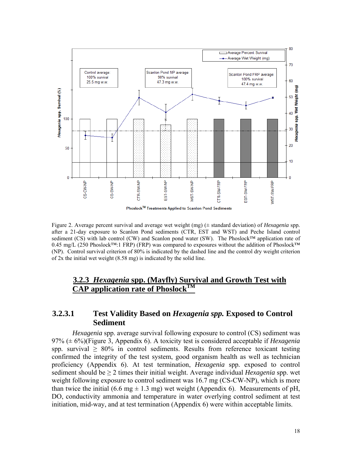<span id="page-17-0"></span>

Figure 2. Average percent survival and average wet weight (mg) (± standard deviation) of *Hexagenia* spp*.* after a 21-day exposure to Scanlon Pond sediments (CTR, EST and WST) and Peche Island control sediment (CS) with lab control (CW) and Scanlon pond water (SW). The Phoslock™ application rate of 0.45 mg/L (250 Phoslock™:1 FRP) (FRP) was compared to exposures without the addition of Phoslock™ (NP). Control survival criterion of 80% is indicated by the dashed line and the control dry weight criterion of 2x the initial wet weight (8.58 mg) is indicated by the solid line.

## **3.2.3** *Hexagenia* **spp. (Mayfly) Survival and Growth Test with CAP application rate of Phoslock<sup>TM</sup>**

## **3.2.3.1 Test Validity Based on** *Hexagenia spp.* **Exposed to Control Sediment**

*Hexagenia* spp. average survival following exposure to control (CS) sediment was 97% (± 6%)(Figure 3, Appendix 6). A toxicity test is considered acceptable if *Hexagenia*  spp. survival  $\geq 80\%$  in control sediments. Results from reference toxicant testing confirmed the integrity of the test system, good organism health as well as technician proficiency (Appendix 6). At test termination, *Hexagenia* spp*.* exposed to control sediment should be ≥ 2 times their initial weight. Average individual *Hexagenia* spp. wet weight following exposure to control sediment was 16.7 mg (CS-CW-NP), which is more than twice the initial (6.6 mg  $\pm$  1.3 mg) wet weight (Appendix 6). Measurements of pH, DO, conductivity ammonia and temperature in water overlying control sediment at test initiation, mid-way, and at test termination (Appendix 6) were within acceptable limits.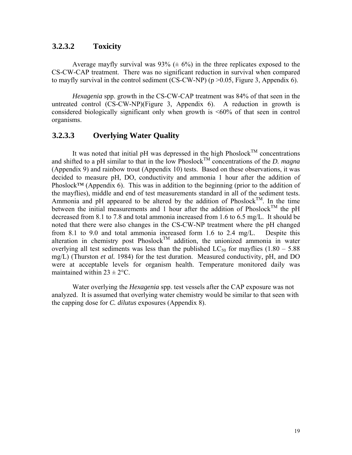### **3.2.3.2 Toxicity**

Average mayfly survival was 93% ( $\pm$  6%) in the three replicates exposed to the CS-CW-CAP treatment. There was no significant reduction in survival when compared to mayfly survival in the control sediment (CS-CW-NP) ( $p > 0.05$ , Figure 3, Appendix 6).

*Hexagenia* spp. growth in the CS-CW-CAP treatment was 84% of that seen in the untreated control (CS-CW-NP)(Figure 3, Appendix 6). A reduction in growth is considered biologically significant only when growth is <60% of that seen in control organisms.

### **3.2.3.3 Overlying Water Quality**

It was noted that initial pH was depressed in the high Phoslock<sup>TM</sup> concentrations and shifted to a pH similar to that in the low Phoslock<sup>TM</sup> concentrations of the *D. magna* (Appendix 9) and rainbow trout (Appendix 10) tests. Based on these observations, it was decided to measure pH, DO, conductivity and ammonia 1 hour after the addition of Phoslock™ (Appendix 6). This was in addition to the beginning (prior to the addition of the mayflies), middle and end of test measurements standard in all of the sediment tests. Ammonia and pH appeared to be altered by the addition of Phoslock<sup>TM</sup>. In the time between the initial measurements and 1 hour after the addition of Phoslock<sup>TM</sup> the pH decreased from 8.1 to 7.8 and total ammonia increased from 1.6 to 6.5 mg/L. It should be noted that there were also changes in the CS-CW-NP treatment where the pH changed from 8.1 to 9.0 and total ammonia increased form 1.6 to 2.4 mg/L. Despite this alteration in chemistry post Phoslock<sup>TM</sup> addition, the unionized ammonia in water overlying all test sediments was less than the published  $LC_{50}$  for mayflies (1.80 – 5.88) mg/L) (Thurston *et al.* 1984) for the test duration. Measured conductivity, pH, and DO were at acceptable levels for organism health. Temperature monitored daily was maintained within  $23 \pm 2$ °C.

Water overlying the *Hexagenia* spp. test vessels after the CAP exposure was not analyzed. It is assumed that overlying water chemistry would be similar to that seen with the capping dose for *C. dilutus* exposures (Appendix 8).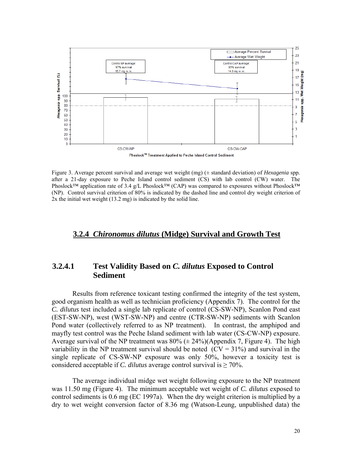<span id="page-19-0"></span>

Figure 3. Average percent survival and average wet weight (mg) (± standard deviation) of *Hexagenia* spp*.* after a 21-day exposure to Peche Island control sediment (CS) with lab control (CW) water. The Phoslock™ application rate of 3.4 g/L Phoslock™ (CAP) was compared to exposures without Phoslock™ (NP). Control survival criterion of 80% is indicated by the dashed line and control dry weight criterion of 2x the initial wet weight (13.2 mg) is indicated by the solid line.

### **3.2.4** *Chironomus dilutus* **(Midge) Survival and Growth Test**

## **3.2.4.1 Test Validity Based on** *C. dilutus* **Exposed to Control Sediment**

Results from reference toxicant testing confirmed the integrity of the test system, good organism health as well as technician proficiency (Appendix 7). The control for the *C. dilutus* test included a single lab replicate of control (CS-SW-NP), Scanlon Pond east (EST-SW-NP), west (WST-SW-NP) and centre (CTR-SW-NP) sediments with Scanlon Pond water (collectively referred to as NP treatment). In contrast, the amphipod and mayfly test control was the Peche Island sediment with lab water (CS-CW-NP) exposure. Average survival of the NP treatment was  $80\% (\pm 24\%)$ (Appendix 7, Figure 4). The high variability in the NP treatment survival should be noted  $(CV = 31\%)$  and survival in the single replicate of CS-SW-NP exposure was only 50%, however a toxicity test is considered acceptable if *C. dilutus* average control survival is ≥ 70%.

The average individual midge wet weight following exposure to the NP treatment was 11.50 mg (Figure 4). The minimum acceptable wet weight of *C. dilutus* exposed to control sediments is 0.6 mg (EC 1997a). When the dry weight criterion is multiplied by a dry to wet weight conversion factor of 8.36 mg (Watson-Leung, unpublished data) the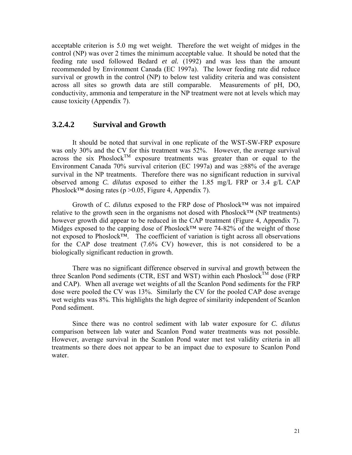acceptable criterion is 5.0 mg wet weight. Therefore the wet weight of midges in the control (NP) was over 2 times the minimum acceptable value. It should be noted that the feeding rate used followed Bedard *et al.* (1992) and was less than the amount recommended by Environment Canada (EC 1997a). The lower feeding rate did reduce survival or growth in the control (NP) to below test validity criteria and was consistent across all sites so growth data are still comparable. Measurements of pH, DO, conductivity, ammonia and temperature in the NP treatment were not at levels which may cause toxicity (Appendix 7).

## **3.2.4.2 Survival and Growth**

It should be noted that survival in one replicate of the WST-SW-FRP exposure was only 30% and the CV for this treatment was 52%. However, the average survival across the six Phoslock<sup>TM</sup> exposure treatments was greater than or equal to the Environment Canada 70% survival criterion (EC 1997a) and was ≥88% of the average survival in the NP treatments. Therefore there was no significant reduction in survival observed among *C. dilutus* exposed to either the 1.85 mg/L FRP or 3.4 g/L CAP Phoslock<sup>™</sup> dosing rates (p > 0.05, Figure 4, Appendix 7).

Growth of *C. dilutus* exposed to the FRP dose of Phoslock™ was not impaired relative to the growth seen in the organisms not dosed with Phoslock™ (NP treatments) however growth did appear to be reduced in the CAP treatment (Figure 4, Appendix 7). Midges exposed to the capping dose of Phoslock™ were 74-82% of the weight of those not exposed to Phoslock™. The coefficient of variation is tight across all observations for the CAP dose treatment (7.6% CV) however, this is not considered to be a biologically significant reduction in growth.

There was no significant difference observed in survival and growth between the three Scanlon Pond sediments (CTR, EST and WST) within each Phoslock<sup>TM</sup> dose (FRP and CAP). When all average wet weights of all the Scanlon Pond sediments for the FRP dose were pooled the CV was 13%. Similarly the CV for the pooled CAP dose average wet weights was 8%. This highlights the high degree of similarity independent of Scanlon Pond sediment.

Since there was no control sediment with lab water exposure for *C. dilutus*  comparison between lab water and Scanlon Pond water treatments was not possible. However, average survival in the Scanlon Pond water met test validity criteria in all treatments so there does not appear to be an impact due to exposure to Scanlon Pond water.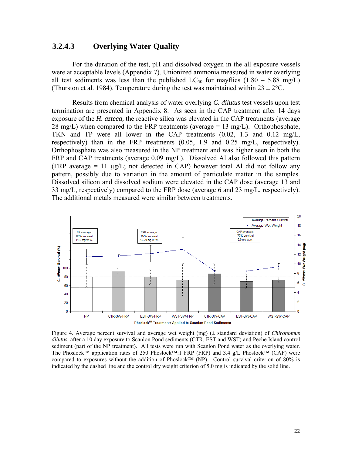## **3.2.4.3 Overlying Water Quality**

For the duration of the test, pH and dissolved oxygen in the all exposure vessels were at acceptable levels (Appendix 7). Unionized ammonia measured in water overlying all test sediments was less than the published  $LC_{50}$  for mayflies  $(1.80 - 5.88 \text{ mg/L})$ (Thurston et al. 1984). Temperature during the test was maintained within  $23 \pm 2^{\circ}\text{C}$ .

Results from chemical analysis of water overlying *C. dilutus* test vessels upon test termination are presented in Appendix 8. As seen in the CAP treatment after 14 days exposure of the *H. azteca,* the reactive silica was elevated in the CAP treatments (average 28 mg/L) when compared to the FRP treatments (average  $= 13$  mg/L). Orthophosphate, TKN and TP were all lower in the CAP treatments (0.02, 1.3 and 0.12 mg/L, respectively) than in the FRP treatments (0.05, 1.9 and 0.25 mg/L, respectively). Orthophosphate was also measured in the NP treatment and was higher seen in both the FRP and CAP treatments (average 0.09 mg/L). Dissolved Al also followed this pattern (FRP average  $= 11 \mu g/L$ ; not detected in CAP) however total Al did not follow any pattern, possibly due to variation in the amount of particulate matter in the samples. Dissolved silicon and dissolved sodium were elevated in the CAP dose (average 13 and 33 mg/L, respectively) compared to the FRP dose (average 6 and 23 mg/L, respectively). The additional metals measured were similar between treatments.



Figure 4. Average percent survival and average wet weight (mg) (± standard deviation) of *Chironomus dilutus.* after a 10 day exposure to Scanlon Pond sediments (CTR, EST and WST) and Peche Island control sediment (part of the NP treatment). All tests were run with Scanlon Pond water as the overlying water. The Phoslock™ application rates of 250 Phoslock™:1 FRP (FRP) and 3.4 g/L Phoslock™ (CAP) were compared to exposures without the addition of Phoslock™ (NP). Control survival criterion of 80% is indicated by the dashed line and the control dry weight criterion of 5.0 mg is indicated by the solid line.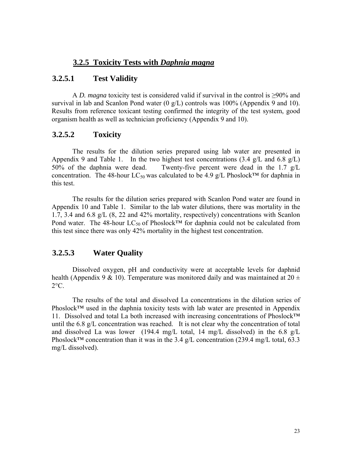## **3.2.5 Toxicity Tests with** *Daphnia magna*

## <span id="page-22-0"></span>**3.2.5.1 Test Validity**

A *D. magna* toxicity test is considered valid if survival in the control is ≥90% and survival in lab and Scanlon Pond water  $(0 \text{ g/L})$  controls was 100% (Appendix 9 and 10). Results from reference toxicant testing confirmed the integrity of the test system, good organism health as well as technician proficiency (Appendix 9 and 10).

### **3.2.5.2 Toxicity**

The results for the dilution series prepared using lab water are presented in Appendix 9 and Table 1. In the two highest test concentrations  $(3.4 \text{ g/L}$  and  $6.8 \text{ g/L})$ 50% of the daphnia were dead. Twenty-five percent were dead in the 1.7 g/L concentration. The 48-hour LC<sub>50</sub> was calculated to be 4.9 g/L Phoslock<sup>™</sup> for daphnia in this test.

The results for the dilution series prepared with Scanlon Pond water are found in Appendix 10 and Table 1. Similar to the lab water dilutions, there was mortality in the 1.7, 3.4 and 6.8 g/L (8, 22 and 42% mortality, respectively) concentrations with Scanlon Pond water. The 48-hour LC<sub>50</sub> of Phoslock<sup>™</sup> for daphnia could not be calculated from this test since there was only 42% mortality in the highest test concentration.

### **3.2.5.3 Water Quality**

Dissolved oxygen, pH and conductivity were at acceptable levels for daphnid health (Appendix 9 & 10). Temperature was monitored daily and was maintained at  $20 \pm$  $2^{\circ}$ C.

The results of the total and dissolved La concentrations in the dilution series of Phoslock™ used in the daphnia toxicity tests with lab water are presented in Appendix 11. Dissolved and total La both increased with increasing concentrations of Phoslock™ until the 6.8 g/L concentration was reached. It is not clear why the concentration of total and dissolved La was lower (194.4 mg/L total, 14 mg/L dissolved) in the 6.8 g/L Phoslock<sup>™</sup> concentration than it was in the 3.4 g/L concentration (239.4 mg/L total, 63.3 mg/L dissolved).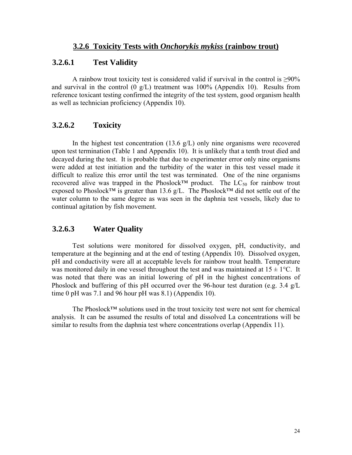## <span id="page-23-0"></span>**3.2.6.1 Test Validity**

A rainbow trout toxicity test is considered valid if survival in the control is  $\geq 90\%$ and survival in the control  $(0 \text{ g/L})$  treatment was 100% (Appendix 10). Results from reference toxicant testing confirmed the integrity of the test system, good organism health as well as technician proficiency (Appendix 10).

## **3.2.6.2 Toxicity**

In the highest test concentration  $(13.6 \text{ g/L})$  only nine organisms were recovered upon test termination (Table 1 and Appendix 10). It is unlikely that a tenth trout died and decayed during the test. It is probable that due to experimenter error only nine organisms were added at test initiation and the turbidity of the water in this test vessel made it difficult to realize this error until the test was terminated. One of the nine organisms recovered alive was trapped in the Phoslock<sup>™</sup> product. The  $LC_{50}$  for rainbow trout exposed to Phoslock™ is greater than 13.6 g/L. The Phoslock™ did not settle out of the water column to the same degree as was seen in the daphnia test vessels, likely due to continual agitation by fish movement.

## **3.2.6.3 Water Quality**

Test solutions were monitored for dissolved oxygen, pH, conductivity, and temperature at the beginning and at the end of testing (Appendix 10). Dissolved oxygen, pH and conductivity were all at acceptable levels for rainbow trout health. Temperature was monitored daily in one vessel throughout the test and was maintained at  $15 \pm 1^{\circ}$ C. It was noted that there was an initial lowering of pH in the highest concentrations of Phoslock and buffering of this pH occurred over the 96-hour test duration (e.g. 3.4 g/L time 0 pH was 7.1 and 96 hour pH was 8.1) (Appendix 10).

The Phoslock™ solutions used in the trout toxicity test were not sent for chemical analysis. It can be assumed the results of total and dissolved La concentrations will be similar to results from the daphnia test where concentrations overlap (Appendix 11).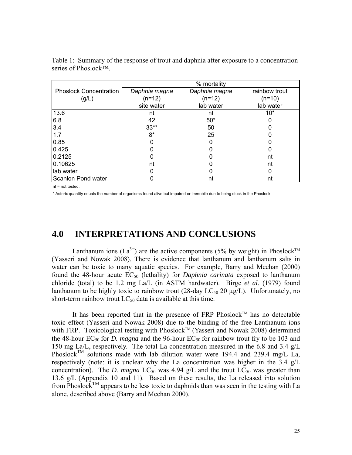|                               |               | % mortality   |               |
|-------------------------------|---------------|---------------|---------------|
| <b>Phoslock Concentration</b> | Daphnia magna | Daphnia magna | rainbow trout |
| (g/L)                         | $(n=12)$      | $(n=12)$      | $(n=10)$      |
|                               | site water    | lab water     | lab water     |
| 13.6                          | nt            | nt            | $10*$         |
| 6.8                           | 42            | $50*$         |               |
| 3.4                           | $33**$        | 50            |               |
| 1.7                           | $8*$          | 25            |               |
| 0.85                          |               |               |               |
| 0.425                         |               |               |               |
| 0.2125                        |               |               | nt            |
| 0.10625                       | nt            |               | nt            |
| lab water                     |               |               |               |
| Scanlon Pond water            |               | nt            | nt            |

<span id="page-24-0"></span>Table 1: Summary of the response of trout and daphnia after exposure to a concentration series of Phoslock™.

nt = not tested.

\* Asterix quantity equals the number of organisms found alive but impaired or immobile due to being stuck in the Phoslock.

## **4.0 INTERPRETATIONS AND CONCLUSIONS**

Lanthanum ions  $(La^{3+})$  are the active components (5% by weight) in Phoslock<sup>TM</sup> (Yasseri and Nowak 2008). There is evidence that lanthanum and lanthanum salts in water can be toxic to many aquatic species. For example, Barry and Meehan (2000) found the 48-hour acute  $EC_{50}$  (lethality) for *Daphnia carinata* exposed to lanthanum chloride (total) to be 1.2 mg La/L (in ASTM hardwater). Birge *et al.* (1979) found lanthanum to be highly toxic to rainbow trout (28-day  $LC_{50}$  20  $\mu$ g/L). Unfortunately, no short-term rainbow trout  $LC_{50}$  data is available at this time.

It has been reported that in the presence of FRP Phoslock<sup>TM</sup> has no detectable toxic effect (Yasseri and Nowak 2008) due to the binding of the free Lanthanum ions with FRP. Toxicological testing with Phoslock™ (Yasseri and Nowak 2008) determined the 48-hour  $EC_{50}$  for *D. magna* and the 96-hour  $EC_{50}$  for rainbow trout fry to be 103 and 150 mg La/L, respectively. The total La concentration measured in the 6.8 and 3.4 g/L Phoslock<sup>TM</sup> solutions made with lab dilution water were 194.4 and 239.4 mg/L La, respectively (note: it is unclear why the La concentration was higher in the 3.4 g/L concentration). The *D. magna*  $LC_{50}$  was 4.94 g/L and the trout  $LC_{50}$  was greater than 13.6 g/L (Appendix 10 and 11). Based on these results, the La released into solution from Phoslock<sup>TM</sup> appears to be less toxic to daphnids than was seen in the testing with La alone, described above (Barry and Meehan 2000).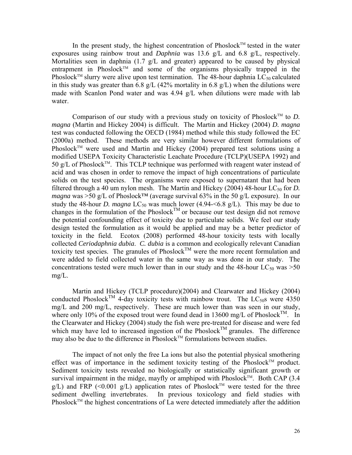In the present study, the highest concentration of  $Phoslock^{TM}$  tested in the water exposures using rainbow trout and *Daphnia* was 13.6 g/L and 6.8 g/L, respectively. Mortalities seen in daphnia (1.7 g/L and greater) appeared to be caused by physical entrapment in Phoslock<sup>TM</sup> and some of the organisms physically trapped in the Phoslock<sup>TM</sup> slurry were alive upon test termination. The 48-hour daphnia LC<sub>50</sub> calculated in this study was greater than 6.8 g/L (42% mortality in 6.8 g/L) when the dilutions were made with Scanlon Pond water and was 4.94 g/L when dilutions were made with lab water.

Comparison of our study with a previous study on toxicity of Phoslock<sup>TM</sup> to *D*. *magna* (Martin and Hickey 2004) is difficult.The Martin and Hickey (2004) *D. magna* test was conducted following the OECD (1984) method while this study followed the EC (2000a) method. These methods are very similar however different formulations of Phoslock<sup>TM</sup> were used and Martin and Hickey (2004) prepared test solutions using a modified USEPA Toxicity Characteristic Leachate Procedure (TCLP)(USEPA 1992) and  $50 \text{ g/L}$  of Phoslock<sup>TM</sup>. This TCLP technique was performed with reagent water instead of acid and was chosen in order to remove the impact of high concentrations of particulate solids on the test species. The organisms were exposed to supernatant that had been filtered through a 40 um nylon mesh. The Martin and Hickey (2004) 48-hour  $LC_{50}$  for *D*. *magna* was >50 g/L of Phoslock<sup>™</sup> (average survival 63% in the 50 g/L exposure). In our study the 48-hour *D. magna*  $LC_{50}$  was much lower (4.94- $\leq$ 6.8 g/L). This may be due to changes in the formulation of the Phoslock<sup>TM</sup> or because our test design did not remove the potential confounding effect of toxicity due to particulate solids. We feel our study design tested the formulation as it would be applied and may be a better predictor of toxicity in the field. Ecotox (2008) performed 48-hour toxicity tests with locally collected *Ceriodaphnia dubia*. *C. dubia* is a common and ecologically relevant Canadian toxicity test species. The granules of Phoslock<sup>TM</sup> were the more recent formulation and were added to field collected water in the same way as was done in our study. The concentrations tested were much lower than in our study and the 48-hour  $LC_{50}$  was  $>50$ mg/L.

Martin and Hickey (TCLP procedure)(2004) and Clearwater and Hickey (2004) conducted Phoslock<sup>TM</sup> 4-day toxicity tests with rainbow trout. The LC<sub>50</sub>s were 4350 mg/L and 200 mg/L, respectively. These are much lower than was seen in our study, where only 10% of the exposed trout were found dead in 13600 mg/L of Phoslock<sup>TM</sup>. In the Clearwater and Hickey (2004) study the fish were pre-treated for disease and were fed which may have led to increased ingestion of the Phoslock<sup>TM</sup> granules. The difference may also be due to the difference in Phoslock<sup>TM</sup> formulations between studies.

The impact of not only the free La ions but also the potential physical smothering effect was of importance in the sediment toxicity testing of the Phoslock<sup>TM</sup> product. Sediment toxicity tests revealed no biologically or statistically significant growth or survival impairment in the midge, mayfly or amphipod with Phoslock<sup>TM</sup>. Both CAP (3.4)  $g/L$ ) and FRP (<0.001  $g/L$ ) application rates of Phoslock<sup>TM</sup> were tested for the three sediment dwelling invertebrates. In previous toxicology and field studies with Phoslock<sup>TM</sup> the highest concentrations of La were detected immediately after the addition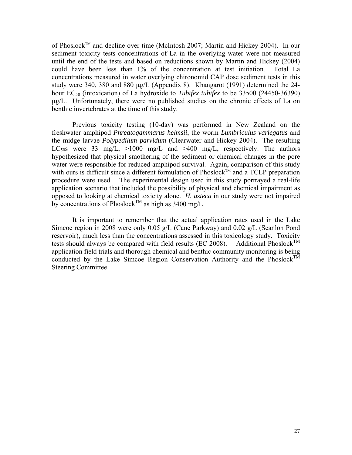of Phoslock<sup>™</sup> and decline over time (McIntosh 2007; Martin and Hickey 2004). In our sediment toxicity tests concentrations of La in the overlying water were not measured until the end of the tests and based on reductions shown by Martin and Hickey (2004) could have been less than 1% of the concentration at test initiation. Total La concentrations measured in water overlying chironomid CAP dose sediment tests in this study were 340, 380 and 880 µg/L (Appendix 8). Khangarot (1991) determined the 24 hour EC<sub>50</sub> (intoxication) of La hydroxide to *Tubifex tubifex* to be 33500 (24450-36390) µg/L. Unfortunately, there were no published studies on the chronic effects of La on benthic invertebrates at the time of this study.

Previous toxicity testing (10-day) was performed in New Zealand on the freshwater amphipod *Phreatogammarus helmsii*, the worm *Lumbriculus variegatus* and the midge larvae *Polypedilum parvidum* (Clearwater and Hickey 2004). The resulting LC<sub>50</sub>s were 33 mg/L,  $>1000$  mg/L and  $>400$  mg/L, respectively. The authors hypothesized that physical smothering of the sediment or chemical changes in the pore water were responsible for reduced amphipod survival. Again, comparison of this study with ours is difficult since a different formulation of Phoslock<sup>TM</sup> and a TCLP preparation procedure were used. The experimental design used in this study portrayed a real-life application scenario that included the possibility of physical and chemical impairment as opposed to looking at chemical toxicity alone. *H. azteca* in our study were not impaired by concentrations of Phoslock<sup>TM</sup> as high as 3400 mg/L.

It is important to remember that the actual application rates used in the Lake Simcoe region in 2008 were only 0.05 g/L (Cane Parkway) and 0.02 g/L (Scanlon Pond reservoir), much less than the concentrations assessed in this toxicology study. Toxicity tests should always be compared with field results (EC 2008). Additional Phoslock<sup>TM</sup> tests should always be compared with field results (EC 2008). application field trials and thorough chemical and benthic community monitoring is being conducted by the Lake Simcoe Region Conservation Authority and the Phoslock<sup>TM</sup> Steering Committee.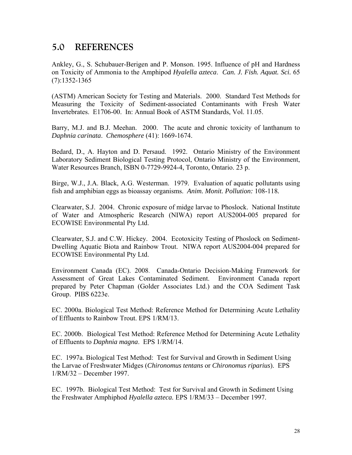## <span id="page-27-0"></span>**5.0 REFERENCES**

Ankley, G., S. Schubauer-Berigen and P. Monson. 1995. Influence of pH and Hardness on Toxicity of Ammonia to the Amphipod *Hyalella azteca*. *Can. J. Fish. Aquat. Sci.* 65 (7):1352-1365

(ASTM) American Society for Testing and Materials. 2000. Standard Test Methods for Measuring the Toxicity of Sediment-associated Contaminants with Fresh Water Invertebrates. E1706-00. In: Annual Book of ASTM Standards, Vol. 11.05.

Barry, M.J. and B.J. Meehan. 2000. The acute and chronic toxicity of lanthanum to *Daphnia carinata*. *Chemosphere* (41): 1669-1674.

Bedard, D., A. Hayton and D. Persaud. 1992. Ontario Ministry of the Environment Laboratory Sediment Biological Testing Protocol, Ontario Ministry of the Environment, Water Resources Branch, ISBN 0-7729-9924-4, Toronto, Ontario. 23 p.

Birge, W.J., J.A. Black, A.G. Westerman. 1979. Evaluation of aquatic pollutants using fish and amphibian eggs as bioassay organisms. *Anim. Monit. Pollution:* 108-118*.* 

Clearwater, S.J. 2004. Chronic exposure of midge larvae to Phoslock. National Institute of Water and Atmospheric Research (NIWA) report AUS2004-005 prepared for ECOWISE Environmental Pty Ltd.

Clearwater, S.J. and C.W. Hickey. 2004. Ecotoxicity Testing of Phoslock on Sediment-Dwelling Aquatic Biota and Rainbow Trout. NIWA report AUS2004-004 prepared for ECOWISE Environmental Pty Ltd.

Environment Canada (EC). 2008. Canada-Ontario Decision-Making Framework for Assessment of Great Lakes Contaminated Sediment. Environment Canada report prepared by Peter Chapman (Golder Associates Ltd.) and the COA Sediment Task Group. PIBS 6223e.

EC. 2000a. Biological Test Method: Reference Method for Determining Acute Lethality of Effluents to Rainbow Trout. EPS 1/RM/13.

 EC. 2000b. Biological Test Method: Reference Method for Determining Acute Lethality of Effluents to *Daphnia magna*. EPS 1/RM/14.

EC. 1997a. Biological Test Method: Test for Survival and Growth in Sediment Using the Larvae of Freshwater Midges (*Chironomus tentans* or *Chironomus riparius*). EPS 1/RM/32 – December 1997.

EC. 1997b. Biological Test Method: Test for Survival and Growth in Sediment Using the Freshwater Amphiphod *Hyalella azteca.* EPS 1/RM/33 – December 1997.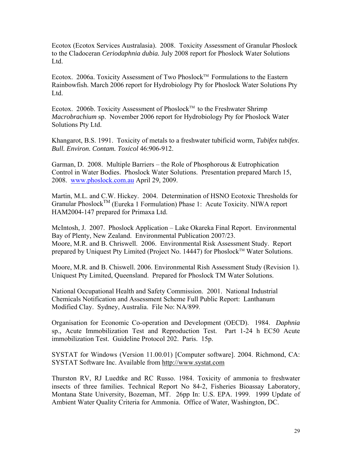Ecotox (Ecotox Services Australasia). 2008. Toxicity Assessment of Granular Phoslock to the Cladoceran *Ceriodaphnia dubia.* July 2008 report for Phoslock Water Solutions Ltd.

Ecotox. 2006a. Toxicity Assessment of Two Phoslock<sup>TM</sup> Formulations to the Eastern Rainbowfish. March 2006 report for Hydrobiology Pty for Phoslock Water Solutions Pty Ltd.

Ecotox. 2006b. Toxicity Assessment of Phoslock<sup>TM</sup> to the Freshwater Shrimp *Macrobrachium* sp. November 2006 report for Hydrobiology Pty for Phoslock Water Solutions Pty Ltd.

Khangarot, B.S. 1991. Toxicity of metals to a freshwater tubificid worm, *Tubifex tubifex*. *Bull. Environ. Contam. Toxicol* 46:906-912.

Garman, D. 2008. Multiple Barriers – the Role of Phosphorous & Eutrophication Control in Water Bodies. Phoslock Water Solutions. Presentation prepared March 15, 2008. [www.phoslock.com.au](http://www.phoslock.com.au/) April 29, 2009.

Martin, M.L. and C.W. Hickey. 2004. Determination of HSNO Ecotoxic Thresholds for Granular PhoslockTM (Eureka 1 Formulation) Phase 1: Acute Toxicity. NIWA report HAM2004-147 prepared for Primaxa Ltd.

McIntosh, J. 2007. Phoslock Application – Lake Okareka Final Report. Environmental Bay of Plenty, New Zealand. Environmental Publication 2007/23. Moore, M.R. and B. Chriswell. 2006. Environmental Risk Assessment Study. Report prepared by Uniquest Pty Limited (Project No. 14447) for Phoslock™ Water Solutions.

Moore, M.R. and B. Chiswell. 2006. Environmental Rish Assessment Study (Revision 1). Uniquest Pty Limited, Queensland. Prepared for Phoslock TM Water Solutions.

National Occupational Health and Safety Commission. 2001. National Industrial Chemicals Notification and Assessment Scheme Full Public Report: Lanthanum Modified Clay. Sydney, Australia. File No: NA/899.

Organisation for Economic Co-operation and Development (OECD). 1984. *Daphnia*  sp., Acute Immobilization Test and Reproduction Test. Part 1-24 h EC50 Acute immobilization Test. Guideline Protocol 202. Paris. 15p.

SYSTAT for Windows (Version 11.00.01) [Computer software]. 2004. Richmond, CA: SYSTAT Software Inc. Available from http://www.systat.com

Thurston RV, RJ Luedtke and RC Russo. 1984. Toxicity of ammonia to freshwater insects of three families. Technical Report No 84-2, Fisheries Bioassay Laboratory, Montana State University, Bozeman, MT. 26pp In: U.S. EPA. 1999. 1999 Update of Ambient Water Quality Criteria for Ammonia. Office of Water, Washington, DC.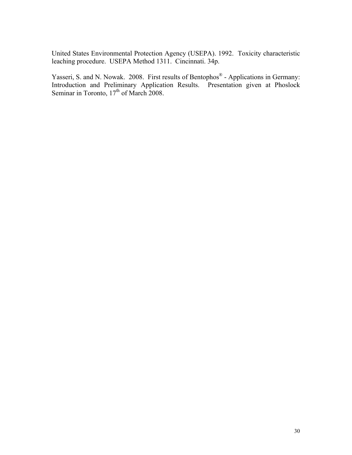United States Environmental Protection Agency (USEPA). 1992. Toxicity characteristic leaching procedure. USEPA Method 1311. Cincinnati. 34p.

Yasseri, S. and N. Nowak. 2008. First results of Bentophos® - Applications in Germany: Introduction and Preliminary Application Results. Presentation given at Phoslock Seminar in Toronto, 17<sup>th</sup> of March 2008.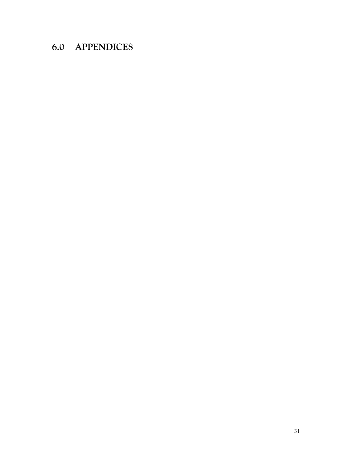## <span id="page-30-0"></span>**6.0 APPENDICES**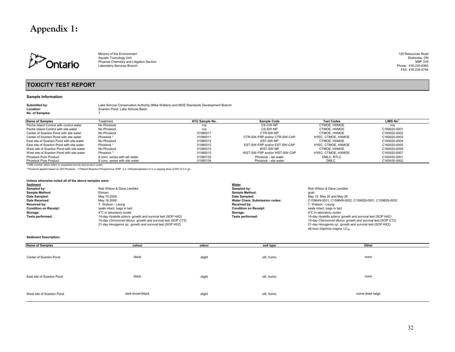## **Appendix 1:**



Ministry of the Environment 125 Resources Road<br>Aquatic Toxicology Unit Ethnology Of the Environment Ethnology of the Structure of the Ethnology Unit Ethnolog Aquatic Toxicology Unit Etobicoke, ON<br>Physical Chemistry and Litigation Section M9P 3V6 Prone: 416-235-6363<br>Laboratory Services Branch M9-235-6363

FAX: 416-235-5744

#### **TOXICITY TEST REPORT**

#### **Sample Information**

**Location:No. of Samples:** 7

**Submitted by:** Lake Simcoe Conservation Authority (Mike Walters) and MOE Standards Development Branch Scanlon Pond, Lake Simcoe Basin

| Name of Samples                           | Treatment                      | ATU Sample No. | <b>Sample Code</b>           | <b>Test Codes</b>  | LIMS No <sup>1</sup> |
|-------------------------------------------|--------------------------------|----------------|------------------------------|--------------------|----------------------|
| Peche Island Control with control water   | No Phoslock                    | n/a            | CS-CW-NP                     | CTMOE. HXMOE       | n/a                  |
| Peche Island Control with site water      | No Phoslock                    | n/a            | CS-SW-NP                     | CTMOE. HXMOE       | C160020-0001         |
| Center of Scanlon Pond with site water    | No Phoslock                    | 01080011       | CTR-SW-NP                    | CTMOE. HXMOE       | C160020-0002         |
| Center of Scanlon Pond with site water    | Phoslock *                     | 01080011       | CTR-SW-FRP and/or CTR-SW-CAP | HYEC. CTMOE. HXMOE | C160020-0003         |
| East site of Scanlon Pond with site water | No Phoslock                    | 01080012       | EST-SW-NP                    | CTMOE. HXMOE       | C160020-0004         |
| East site of Scanlon Pond with site water | Phoslock *                     | 01080012       | EST-SW-FRP and/or EST-SW-CAP | HYEC. CTMOE. HXMOE | C160020-0005         |
| West site of Scanlon Pond with site water | No Phoslock                    | 01080013       | WST-SW-NP                    | CTMOE. HXMOE       | C160020-0006         |
| West site of Scanlon Pond with site water | Phoslock *                     | 01080013       | WST-SW-FRP and/or WST-SW-CAP | HYEC. CTMOE. HXMOE | C160020-0007         |
| Phoslock Pure Product                     | 8 conc. series with lab water  | 01080132       | Phoslock - lab water         | DMLC, RTLC         | C160435-0001         |
| <b>Phoslock Pure Product</b>              | 8 conc. series with site water | 01080134       | Phoslock - site water        | <b>DMLC</b>        | C160435-0002         |

1LIMS number which refers to requested toxicity test product codes

\* Phoslock applied based on 250 Phoslock : 1 Filtered Reactive Phosphorous (FRP (i.e. Orthophosphate)) or in a capping dose (CAP) of 3.4 g/L

#### **Unless otherwise noted all of the above samples were:**

| Sediment                     |                                                              | <b>Water</b>                  |                                                              |
|------------------------------|--------------------------------------------------------------|-------------------------------|--------------------------------------------------------------|
| Sampled by:                  | Rob Wilson & Dave Lembke                                     | Sampled by:                   | Rob Wilson & Dave Lembke                                     |
| <b>Sample Method:</b>        | Ekman                                                        | <b>Sample Method:</b>         | arab                                                         |
| Date Sampled:                | Mav.15.2008                                                  | Date Sampled:                 | May 15, May 20 and May 26                                    |
| Date Received:               | Mav.16.2008                                                  | Water Chem. Submission codes: | C159649-0001, C159649-0002, C159829-0001, C159829-0002       |
| Received by:                 | 「. Watson - Leung                                            | Received by:                  | T. Watson - Leung                                            |
| <b>Condition on Receipt:</b> | seals intact, bags in tact                                   | <b>Condition on Receipt:</b>  | seals intact, bags in tact                                   |
| Storage:                     | 4°C in laboratory cooler                                     | Storage:                      | 4°C in laboratory cooler                                     |
| Tests performed:             | 14-day Hyalella azteca growth and survival test (SOP HA2)    | Tests performed:              | 14-day Hyalella azteca growth and survival test (SOP HA2)    |
|                              | 10-day Chironomid dilutus growth and survival test (SOP CT2) |                               | 10-day Chironomid dilutus growth and survival test (SOP CT2) |
|                              | 21-day Hexagenia sp. growth and survival test (SOP HX2)      |                               | 21-day Hexagenia sp. growth and survival test (SOP HX2)      |
|                              |                                                              |                               | 48 hour Daphnia magna LC <sub>50</sub>                       |

#### **Sediment Description:**

| <b>Name of Samples</b>    | colour           | odour  | soil type   | Other            |
|---------------------------|------------------|--------|-------------|------------------|
| Center of Scanlon Pond    | black            | slight | silt, humic | none             |
| East site of Scanlon Pond | black            | slight | silt, humic | none             |
| West site of Scanlon Pond | dark brown/black | slight | silt, humic | some dried twigs |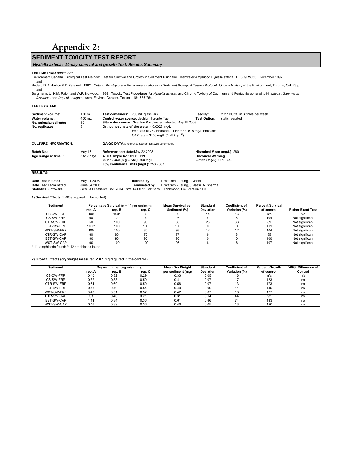## **Appendix 2:**

### <span id="page-32-0"></span>**SEDIMENT TOXICITY TEST REPORT**

#### *Hyalella azteca: 14-day survival and growth Test; Results Summary*

#### **TEST METHOD** *Based on:*

Environment Canada. Biological Test Method: Test for Survival and Growth in Sediment Using the Freshwater Amphipod Hyalella azteca. EPS 1/RM/33. December 1997.

and<br>Bedard D, A Hayton & D Persaud. 1992. *Ontario Ministry of the Environment Laboratory Sediment Biological Testing Protocol,* Ontario Ministry of the Environment, Toronto, ON. 23 p.<br>and

Borgmann, U, K.M. Ralph and W.P. Norwood. 1989. Toxicity Test Procedures for *Hyalella azteca* , and Chronic Toxicity of Cadmium and Pentachlorophenol to H. *azteca* , *Gammarus fasciatus* , and *Daphnia magna* . Arch. Environ. Contam. Toxicol., 18: 756-764.

#### **TEST SYSTEM:**

| Sediment volume:<br>Water volume:<br>No. animals/replicate:<br>No. replicates: | $100 \text{ mL}$<br>400 mL<br>10<br>3 | Test containers: 700 mL glass jars<br>Control water source: dechlor. Toronto Tap<br>Site water source: Scanlon Pond water collected May.15.2008<br>Orthophosphate of site water = 0.0023 mg/L<br>FRP rate of 250 Phoslock: 1 FRP = 0.575 mg/L Phoslock<br>CAP rate = 3400 mg/L $(0.25 \text{ kg/m}^2)$ | Feeding:<br><b>Test Option:</b>                                                      | 2 mg NutraFin 3 times per week<br>static, aerated |
|--------------------------------------------------------------------------------|---------------------------------------|--------------------------------------------------------------------------------------------------------------------------------------------------------------------------------------------------------------------------------------------------------------------------------------------------------|--------------------------------------------------------------------------------------|---------------------------------------------------|
| <b>CULTURE INFORMATION:</b>                                                    |                                       | QA/QC DATA (a reference toxicant test was performed):                                                                                                                                                                                                                                                  |                                                                                      |                                                   |
| Batch No.:<br>Age Range at time 0:                                             | May 16<br>5 to 7 days                 | Reference test date: May. 22.2008<br>ATU Sample No.: 01080119<br>96-hr LC50 (mg/L KCI): 308 mg/L<br>95% confidence limits (mg/L): 258 - 367                                                                                                                                                            | Historical Mean (mg/L): 280<br><b>Historical Warning</b><br>Limits (mg/L): 221 - 340 |                                                   |

#### **RESULTS:**

| Date Test Initiated:  | May.21.2008                                                                       | Initiated by: | T. Watson - Leung, J. Jassi                                  |
|-----------------------|-----------------------------------------------------------------------------------|---------------|--------------------------------------------------------------|
| Date Test Terminated: | June.04.2008                                                                      |               | <b>Terminated by:</b> T. Watson - Leung, J. Jassi, A. Sharma |
| Statistical Software: | SYSTAT Statistics. Inc. 2004. SYSTAT® 11 Statistics I. Richmond. CA. Version 11.0 |               |                                                              |

**1) Survival Effects** (≥ 80% required in the control)

| Sediment   |         | <b>Percentage Survival</b> ( $n = 10$ per replicate) |        | <b>Mean Survival per</b> | <b>Standard</b> | <b>Coefficient of</b> | <b>Percent Survival</b> |                          |
|------------|---------|------------------------------------------------------|--------|--------------------------|-----------------|-----------------------|-------------------------|--------------------------|
|            | rep. A  | rep. B                                               | rep. C | Sediment (%)             | Deviation       | Variation (%)         | of control              | <b>Fisher Exact Test</b> |
| CS-CW-FRP  | 100     | 100*                                                 | 80     | 90                       |                 | 16                    | n/a                     | n/a                      |
| CS-SW-FRP  | 90      | 100                                                  | 90     | 93                       |                 |                       | 104                     | Not significant          |
| CTR-SW-FRP | 50      | 100                                                  | 90     | 80                       | 26              | 33                    | 89                      | Not significant          |
| EST-SW-FRP | $100**$ | 100                                                  | 100    | 100                      |                 |                       | 111                     | Not significant          |
| WST-SW-FRP | 100     | 100                                                  | 80     | 93                       |                 |                       | 104                     | Not significant          |
| CTR-SW-CAP | 80      | 80                                                   | 70     | 77                       |                 |                       | 85                      | Not significant          |
| EST-SW-CAP | 90      | 90                                                   | 90     | 90                       |                 |                       | 100                     | Not significant          |
| WST-SW-CAP | 90      | 100                                                  | 100    | 97                       |                 |                       | 107                     | Not significant          |

\* 11 amphipods found; \*\* 12 amphipods found

#### **2) Growth Effects (dry weight measured, ≥ 0.1 mg required in the control )**

| <b>Sediment</b> | Dry weight per organism (mg) |        |        |                   | <b>Standard</b>  | <b>Coefficient of</b> | <b>Percent Growth</b> | >60% Difference of |
|-----------------|------------------------------|--------|--------|-------------------|------------------|-----------------------|-----------------------|--------------------|
|                 | rep. A                       | rep. B | rep. C | per sediment (mg) | <b>Deviation</b> | Variation (%)         | of control            | Control            |
| CS-CW-FRP       | 0.40                         | 0.32   | 0.29   | 0.33              | 0.05             | 16                    | n/a                   | n/a                |
| CS-SW-FRP       | 0.37                         | 0.38   | 0.50   | 0.41              | 0.07             |                       | 123                   | no                 |
| CTR-SW-FRP      | 0.64                         | 0.60   | 0.50   | 0.58              | 0.07             | 13                    | 173                   | no                 |
| EST-SW-FRP      | 0.43                         | 0.49   | 0.54   | 0.49              | 0.06             |                       | 146                   | no                 |
| WST-SW-FRP      | 0.40                         | 0.51   | 0.37   | 0.42              | 0.07             | 18                    | 127                   | no                 |
| CTR-SW-CAP      | n/a                          | 0.40   | 0.21   | 0.31              | 0.14             | 44                    | 92                    | no                 |
| EST-SW-CAP      | 1.14                         | 0.34   | 0.36   | 0.61              | 0.46             | 74                    | 183                   | no                 |
| WST-SW-CAP      | 0.46                         | 0.39   | 0.36   | 0.40              | 0.05             | 10                    | 120                   | no                 |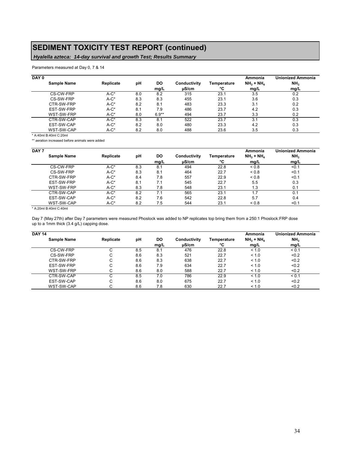## **SEDIMENT TOXICITY TEST REPORT (continued)**

## *Hyalella azteca: 14-day survival and growth Test; Results Summary*

Parameters measured at Day 0, 7 & 14

| DAY 0 |             |           |     |         |              |             | Ammonia     | <b>Unionized Ammonia</b> |
|-------|-------------|-----------|-----|---------|--------------|-------------|-------------|--------------------------|
|       | Sample Name | Replicate | рH  | DO      | Conductivity | Temperature | $NH3 + NH4$ | NH <sub>3</sub>          |
|       |             |           |     | mq/L    | uS/cm        | °C          | mq/L        | mg/L                     |
|       | CS-CW-FRP   | $A-C^*$   | 8.0 | 8.2     | 315          | 23.1        | 3.5         | 0.2                      |
|       | CS-SW-FRP   | $A-C^*$   | 8.3 | 8.3     | 455          | 23.1        | 3.6         | 0.3                      |
|       | CTR-SW-FRP  | $A-C^*$   | 8.2 | 8.1     | 483          | 23.3        | 3.1         | 0.2                      |
|       | EST-SW-FRP  | $A-C^*$   | 8.1 | 7.9     | 486          | 23.7        | 4.2         | 0.3                      |
|       | WST-SW-FRP  | $A-C^*$   | 8.0 | $6.9**$ | 494          | 23.7        | 3.3         | 0.2                      |
|       | CTR-SW-CAP  | $A-C^*$   | 8.3 | 8.1     | 522          | 23.7        | 3.1         | 0.3                      |
|       | EST-SW-CAP  | $A-C^*$   | 8.2 | 8.0     | 480          | 23.3        | 4.2         | 0.3                      |
|       | WST-SW-CAP  | $A-C^*$   | 8.2 | 8.0     | 488          | 23.6        | 3.5         | 0.3                      |

\* A:40ml B:40ml C:20ml

\*\* aeration increased before animals were added

| DAY 7 |             |           |     |      |              |             | Ammonia     | <b>Unionized Ammonia</b> |
|-------|-------------|-----------|-----|------|--------------|-------------|-------------|--------------------------|
|       | Sample Name | Replicate | рH  | DO   | Conductivity | Temperature | $NH3 + NH4$ | NH <sub>3</sub>          |
|       |             |           |     | mq/L | uS/cm        | ۰c          | mq/L        | mq/L                     |
|       | CS-CW-FRP   | $A-C^*$   | 8.3 | 8.1  | 494          | 22.8        | ${}_{0.8}$  | < 0.1                    |
|       | CS-SW-FRP   | $A-C^*$   | 8.3 | 8.1  | 464          | 22.7        | ${}_{0.8}$  | < 0.1                    |
|       | CTR-SW-FRP  | $A-C^*$   | 8.4 | 7.8  | 557          | 22.9        | ${}_{0.8}$  | < 0.1                    |
|       | EST-SW-FRP  | $A-C^*$   | 8.1 | 7.1  | 545          | 22.7        | 5.5         | 0.3                      |
|       | WST-SW-FRP  | $A-C^*$   | 8.3 | 7.8  | 548          | 23.1        | 1.3         | 0.1                      |
|       | CTR-SW-CAP  | $A-C^*$   | 8.2 | 7.1  | 565          | 23.1        | 1.7         | 0.1                      |
|       | EST-SW-CAP  | $A-C^*$   | 8.2 | 7.6  | 542          | 22.8        | 5.7         | 0.4                      |
|       | WST-SW-CAP  | $A-C^*$   | 8.2 | 7.5  | 544          | 23.1        | ${}_{0.8}$  | < 0.1                    |

\* A:20ml B:40ml C:40ml

Day 7 (May 27th) after Day 7 parameters were measured Phoslock was added to NP replicates top bring them from a 250:1 Phoslock:FRP dose up to a 1mm thick (3.4 g/L) capping dose.

| <b>DAY 14</b> |           |     |      |              |             | Ammonia     | <b>Unionized Ammonia</b> |
|---------------|-----------|-----|------|--------------|-------------|-------------|--------------------------|
| Sample Name   | Replicate | рH  | DO   | Conductivity | Temperature | $NH3 + NH4$ | NH <sub>3</sub>          |
|               |           |     | mg/L | µS/cm        | °C          | mg/L        | mg/L                     |
| CS-CW-FRP     |           | 8.5 | 8.1  | 476          | 22.8        | < 1.0       | < 0.1                    |
| CS-SW-FRP     | ⌒<br>◡    | 8.6 | 8.3  | 521          | 22.7        | < 1.0       | < 0.2                    |
| CTR-SW-FRP    | ⌒<br>U    | 8.6 | 8.3  | 638          | 22.7        | < 1.0       | < 0.2                    |
| EST-SW-FRP    | С         | 8.6 | 7.9  | 634          | 22.7        | < 1.0       | < 0.2                    |
| WST-SW-FRP    | ⌒<br>U    | 8.6 | 8.0  | 588          | 22.7        | < 1.0       | < 0.2                    |
| CTR-SW-CAP    | ⌒<br>U    | 8.5 | 7.0  | 786          | 22.9        | < 1.0       | < 0.1                    |
| EST-SW-CAP    | С         | 8.6 | 8.0  | 675          | 22.7        | < 1.0       | < 0.2                    |
| WST-SW-CAP    | ⌒         | 8.6 | 7.8  | 630          | 22.7        | < 1.0       | < 0.2                    |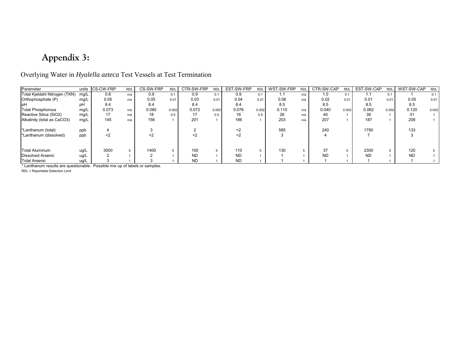## **Appendix 3:**

## Overlying Water in *Hyalella azteca* Test Vessels at Test Termination

| Parameter                     | units | <b>CS-CW-FRP</b> | <b>RDL</b> | CS-SW-FRP | <b>RDI</b> | CTR-SW-FRP | <b>RDI</b> | EST-SW-FRP | <b>RDI</b> | WST-SW-FRP | <b>RDL</b> | CTR-SW-CAP | <b>RDL</b> | EST-SW-CAP | <b>RDI</b> | WST-SW-CAP | <b>RDL</b> |
|-------------------------------|-------|------------------|------------|-----------|------------|------------|------------|------------|------------|------------|------------|------------|------------|------------|------------|------------|------------|
| Total Kieldahl Nitrogen (TKN) | mg/L  | 0.8              | n/a        | 0.9       | 0.1        | 0.9        |            | 0.9        | 0.1        | . .        | n/a        | 1.0        | 0.1        | 1.1        | 0.1        |            | 0.1        |
| Orthophosphate (P)            | mg/L  | 0.05             | n/a        | 0.05      | 0.01       | 0.03       | 0.01       | 0.04       | 0.01       | 0.06       | n/a        | 0.02       | 0.01       | 0.01       | 0.01       | 0.05       | 0.01       |
| IpH                           | pH    | 8.4              |            | 8.4       |            | 8.4        |            | 8.4        |            | 8.5        |            | 8.5        |            | 8.5        |            | 8.5        |            |
| Total Phosphorous             | mg/L  | 0.073            | n/a        | 0.080     | 0.002      | 0.072      | 0.002      | 0.076      | 0.002      | 0.110      | n/a        | 0.040      | 0.002      | 0.062      | 0.002      | 0.120      | 0.002      |
| Reactive Silica (SiO2)        | mg/L  | 17               | n/a        | 18        | 0.5        |            | 0.5        | 16         | 0.5        | 26         | n/a        | 40         |            | 39         |            | 31         |            |
| Alkalinity (total as CaCO3)   | mq/L  | 145              | n/a        | 156       |            | 201        |            | 186        |            | 203        | n/a        | 207        |            | 187        |            | 208        |            |
| 'Lanthanum (total)            | ppb   |                  |            |           |            |            |            |            |            | 585        |            | 240        |            | 1790       |            | 133        |            |
| *Lanthanum (dissolved)        | ppb   | <2               |            |           |            |            |            |            |            |            |            |            |            |            |            |            |            |
| <b>Total Aluminum</b>         | ug/L  | 3000             |            | 1400      |            | 100        |            | 110        |            | 130        |            | 37         |            | 2300       |            | 120        |            |
| Dissolved Arsenic             | ug/L  |                  |            |           |            | <b>ND</b>  |            | <b>ND</b>  |            |            |            | <b>ND</b>  |            | <b>ND</b>  |            | <b>ND</b>  |            |
| Total Arsenic                 | ug/L  |                  |            |           |            | <b>ND</b>  |            | <b>ND</b>  |            |            |            |            |            |            |            |            |            |

\* Lanthanum results are questionable. Possible mix up of labels or samples.

<span id="page-34-0"></span>RDL = Reportable Detection Limit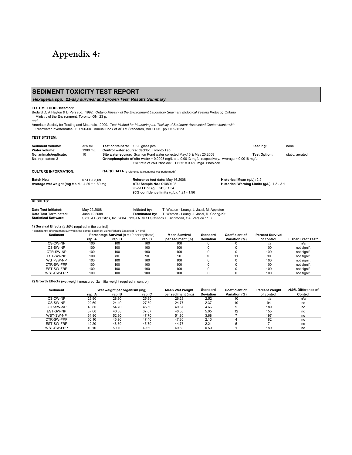## <span id="page-35-0"></span>**Appendix 4:**

### **SEDIMENT TOXICITY TEST REPORT**

 *Hexagenia spp: 21-day survival and growth Test; Results Summary*

#### **TEST METHOD** *Based on:*

Bedard D, A Hayton & D Persaud. 1992. *Ontario Ministry of the Environment Laboratory Sediment Biological Testing Protocol,* Ontario Ministry of the Environment, Toronto, ON. 23 p.

*and*

American Society for Testing and Materials. 2000. Test Method for Measuring the Toxicity of Sediment-Associated Contaminants with<br>Freshwater Invertebrates. E 1706-00. Annual Book of ASTM Standards, Vol 11.05. pp 1109-1223.

#### **TEST SYSTEM:**

| Sediment volume:<br>Water volume:                                           | 325 mL<br>1300 mL | <b>Test containers:</b> | 1.8 L glass jars<br>Control water source: dechlor. Toronto Tap                                                                                                                                                                            | Feeding:                                                                 | none            |
|-----------------------------------------------------------------------------|-------------------|-------------------------|-------------------------------------------------------------------------------------------------------------------------------------------------------------------------------------------------------------------------------------------|--------------------------------------------------------------------------|-----------------|
| No. animals/replicate:<br>No. replicates: 3                                 | 10                |                         | Site water source: Scanlon Pond water collected May.15 & May 20.2008<br><b>Orthophosphate of site water</b> = 0.0023 mg/L and 0.0013 mg/L, respectively. Average = $0.0018$ mg/L<br>FRP rate of 250 Phoslock: 1 FRP = 0.450 mg/L Phoslock | <b>Test Option:</b>                                                      | static, aerated |
| <b>CULTURE INFORMATION:</b>                                                 |                   |                         | <b>QA/QC DATA</b> (a reference toxicant test was performed):                                                                                                                                                                              |                                                                          |                 |
| <b>Batch No.:</b><br>Average wet weight (mg $\pm$ s.d.): 4.29 $\pm$ 1.89 mg | 07-LP-08.09       |                         | Reference test date: May.16.2008<br><b>ATU Sample No.: 01080108</b><br>96-hr LC50 (a/L KCI): 1.54                                                                                                                                         | Historical Mean (g/L): 2.2<br>Historical Warning Limits (g/L): 1.3 - 3.1 |                 |

**95% confidence limits (g/L):** 1.21 - 1.96

#### **RESULTS:**

| Date Test Initiated:  | May.22.2008  | Initiated by: | T. Watson - Leung, J. Jassi, M. Appleton                                          |
|-----------------------|--------------|---------------|-----------------------------------------------------------------------------------|
| Date Test Terminated: | June.12.2008 |               | <b>Terminated by:</b> T. Watson - Leung, J. Jassi, R. Chong-Kit                   |
| Statistical Software: |              |               | SYSTAT Statistics. Inc. 2004. SYSTAT® 11 Statistics I. Richmond. CA. Version 11.0 |

**1) Survival Effects** (≥ 80% required in the control)  $\alpha$  Eigher's Exact test ( $\alpha$  = 0.05)

| $\frac{1}{2}$ significative unique trial is survival in the control sequilient using Fisher's Exact test ( $u = 0.03$ )<br><b>Sediment</b> |        | <b>Percentage Survival</b> ( $n = 10$ per replicate) |        | <b>Mean Survival</b> | <b>Standard</b>  | <b>Coefficient of</b> | <b>Percent Survival</b> |                           |
|--------------------------------------------------------------------------------------------------------------------------------------------|--------|------------------------------------------------------|--------|----------------------|------------------|-----------------------|-------------------------|---------------------------|
|                                                                                                                                            | rep. A | rep. B                                               | rep. C | per sediment (%)     | <b>Deviation</b> | Variation (%)         | of control              | <b>Fisher Exact Test*</b> |
| CS-CW-NP                                                                                                                                   | 100    | 100                                                  | 100    | 100                  |                  |                       | n/a                     | n/a                       |
| CS-SW-NP                                                                                                                                   | 100    | 100                                                  | 100    | 100                  |                  |                       | 100                     | not signif.               |
| CTR-SW-NP                                                                                                                                  | 100    | 100                                                  | 100    | 100                  |                  |                       | 100                     | not signif.               |
| EST-SW-NP                                                                                                                                  | 100    | 80                                                   | 90     | 90                   | 10               |                       | 90                      | not signif.               |
| WST-SW-NP                                                                                                                                  | 100    | 100                                                  | 100    | 100                  |                  |                       | 100                     | not signif.               |
| CTR-SW-FRP                                                                                                                                 | 100    | 100                                                  | 100    | 100                  |                  |                       | 100                     | not signif.               |
| EST-SW-FRP                                                                                                                                 | 100    | 100                                                  | 100    | 100                  |                  |                       | 100                     | not signif.               |
| WST-SW-FRP                                                                                                                                 | 100    | 100                                                  | 100    | 100                  |                  |                       | 100                     | not signif.               |

**2) Growth Effects** (wet weight measured; 2x initial weight required in control)

| <b>Sediment</b> |        | Wet weight per organism (mg) |        | <b>Mean Wet Weight</b> | <b>Standard</b>  | <b>Coefficient of</b> | <b>Percent Weight</b> | >60% Difference of |
|-----------------|--------|------------------------------|--------|------------------------|------------------|-----------------------|-----------------------|--------------------|
|                 | rep. A | rep. B                       | rep. C | per sediment (ma)      | <b>Deviation</b> | Variation (%)         | of control            | Control            |
| CS-CW-NP        | 23.90  | 28.90                        | 25.90  | 26.23                  | 2.52             | 10                    | n/a                   | n/a                |
| CS-SW-NP        | 22.60  | 24.40                        | 27.30  | 24.77                  | 2.37             | 10                    | 94                    | no                 |
| CTR-SW-NP       | 48.80  | 54.70                        | 45.50  | 49.67                  | 4.66             |                       | 189                   | no                 |
| EST-SW-NP       | 37.60  | 46.38                        | 37.67  | 40.55                  | 5.05             | 12                    | 155                   | no                 |
| WST-SW-NP       | 54.80  | 52.90                        | 47.70  | 51.80                  | 3.68             |                       | 197                   | no                 |
| CTR-SW-FRP      | 50.10  | 45.90                        | 47.40  | 47.80                  | 2.13             |                       | 182                   | no                 |
| EST-SW-FRP      | 42.20  | 46.30                        | 45.70  | 44.73                  | 2.21             |                       | 171                   | no                 |
| WST-SW-FRP      | 49.10  | 50.10                        | 49.60  | 49.60                  | 0.50             |                       | 189                   | no                 |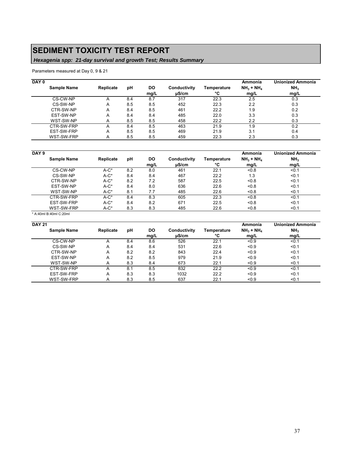## **SEDIMENT TOXICITY TEST REPORT**

### *Hexagenia spp: 21-day survival and growth Test; Results Summary*

Parameters measured at Day 0, 9 & 21

| DAY 0              |           |     |      |              |             | Ammonia     | <b>Unionized Ammonia</b> |
|--------------------|-----------|-----|------|--------------|-------------|-------------|--------------------------|
| <b>Sample Name</b> | Replicate | рH  | DO   | Conductivity | Temperature | $NH3 + NH4$ | NH <sub>3</sub>          |
|                    |           |     | mg/L | uS/cm        | °C          | mg/L        | mg/L                     |
| CS-CW-NP           |           | 8.4 | 8.7  | 317          | 22.3        | 2.5         | 0.3                      |
| CS-SW-NP           | A         | 8.5 | 8.5  | 452          | 22.3        | 2.2         | 0.3                      |
| CTR-SW-NP          | Α         | 8.4 | 8.5  | 461          | 22.2        | 1.9         | 0.2                      |
| EST-SW-NP          | Α         | 8.4 | 8.4  | 485          | 22.0        | 3.3         | 0.3                      |
| WST-SW-NP          | A         | 8.5 | 8.5  | 458          | 22.2        | 2.2         | 0.3                      |
| CTR-SW-FRP         | А         | 8.4 | 8.5  | 463          | 21.9        | 1.9         | 0.2                      |
| EST-SW-FRP         | Α         | 8.5 | 8.5  | 469          | 21.9        | 3.1         | 0.4                      |
| WST-SW-FRP         | A         | 8.5 | 8.5  | 459          | 22.3        | 2.3         | 0.3                      |

| DAY <sub>9</sub>   |           |     |           |              |             | Ammonia     | <b>Unionized Ammonia</b> |
|--------------------|-----------|-----|-----------|--------------|-------------|-------------|--------------------------|
| <b>Sample Name</b> | Replicate | рH  | <b>DO</b> | Conductivity | Temperature | $NH3 + NH4$ | NH <sub>3</sub>          |
|                    |           |     | mq/L      | uS/cm        | °C          | mq/L        | mq/L                     |
| CS-CW-NP           | $A-C^*$   | 8.2 | 8.0       | 461          | 22.1        | < 0.8       | < 0.1                    |
| CS-SW-NP           | $A-C^*$   | 8.4 | 8.4       | 467          | 22.2        | 1.3         | $0.1$                    |
| CTR-SW-NP          | $A-C^*$   | 8.2 | 7.2       | 587          | 22.5        | < 0.8       | $0.1$                    |
| EST-SW-NP          | $A-C^*$   | 8.4 | 8.0       | 636          | 22.6        | < 0.8       | < 0.1                    |
| WST-SW-NP          | $A-C^*$   | 8.1 | 7.7       | 485          | 22.6        | < 0.8       | < 0.1                    |
| CTR-SW-FRP         | $A-C^*$   | 8.4 | 8.3       | 605          | 22.3        | < 0.8       | < 0.1                    |
| EST-SW-FRP         | $A-C^*$   | 8.4 | 8.2       | 671          | 22.5        | <0.8        | < 0.1                    |
| WST-SW-FRP         | $A-C^*$   | 8.3 | 8.3       | 485          | 22.6        | < 0.8       | < 0.1                    |

\* A:40ml B:40ml C:20ml

| <b>DAY 21</b>      |           |     |      |              |             | Ammonia     | <b>Unionized Ammonia</b> |
|--------------------|-----------|-----|------|--------------|-------------|-------------|--------------------------|
| <b>Sample Name</b> | Replicate | рH  | DO   | Conductivity | Temperature | $NH3 + NH4$ | NH <sub>3</sub>          |
|                    |           |     | mg/L | $\mu$ S/cm   | °C          | mq/L        | mg/L                     |
| CS-CW-NP           | A         | 8.4 | 8.6  | 526          | 22.1        | < 0.9       | < 0.1                    |
| CS-SW-NP           | Α         | 8.4 | 8.4  | 531          | 22.6        | < 0.9       | < 0.1                    |
| CTR-SW-NP          | Α         | 8.2 | 8.2  | 843          | 22.4        | < 0.9       | < 0.1                    |
| EST-SW-NP          | A         | 8.2 | 8.5  | 979          | 21.9        | $0.9$       | < 0.1                    |
| WST-SW-NP          | A         | 8.3 | 8.4  | 673          | 22.1        | < 0.9       | < 0.1                    |
| CTR-SW-FRP         | A         | 8.1 | 8.5  | 832          | 22.2        | < 0.9       | < 0.1                    |
| EST-SW-FRP         | А         | 8.3 | 8.3  | 1032         | 22.2        | < 0.9       | < 0.1                    |
| WST-SW-FRP         | A         | 8.3 | 8.5  | 637          | 22.1        | < 0.9       | < 0.1                    |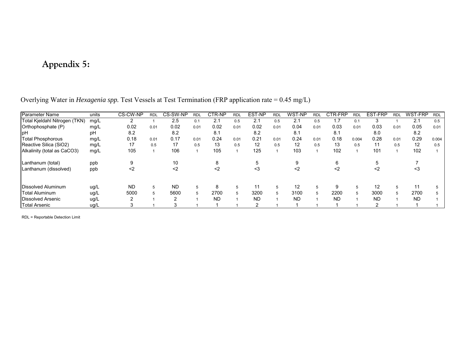## **Appendix 5:**

| <b>Parameter Name</b>         | units | CS-CW-NP  | <b>RDL</b> | CS-SW-NP  | <b>RDL</b> | CTR-NP    | <b>RDL</b> | EST-NP    | <b>RDL</b> | WST-NP    | <b>RDL</b> | CTR-FRP   | <b>RDL</b> | EST-FRP           | <b>RDL</b> | WST-FRP   | <b>RDL</b> |
|-------------------------------|-------|-----------|------------|-----------|------------|-----------|------------|-----------|------------|-----------|------------|-----------|------------|-------------------|------------|-----------|------------|
| Total Kjeldahl Nitrogen (TKN) | mg/L  |           |            | 2.5       | 0.1        | 2.1       | 0.5        | 2.1       | 0.5        | 2.1       | 0.5        | 1.7       | 0.1        |                   |            | 2.1       | 0.5        |
| Orthophosphate (P)            | mg/L  | 0.02      | 0.01       | 0.02      | 0.01       | 0.02      | 0.01       | 0.02      | 0.01       | 0.04      | 0.01       | 0.03      | 0.01       | 0.03              | 0.01       | 0.05      | 0.01       |
| IpH                           | рH    | 8.2       |            | 8.2       |            | 8.1       |            | 8.2       |            | 8.1       |            | 8.1       |            | 8.0               |            | 8.2       |            |
| <b>Total Phosphorous</b>      | mg/L  | 0.18      | 0.01       | 0.17      | 0.01       | 0.24      | 0.01       | 0.21      | 0.01       | 0.24      | 0.01       | 0.18      | 0.004      | 0.28              | 0.01       | 0.29      | 0.004      |
| Reactive Silica (SiO2)        | mg/L  | 17        | 0.5        | 17        | 0.5        | 13        | 0.5        | 12        | 0.5        | 12        | 0.5        | 13        | 0.5        | 11                | 0.5        | 12        | 0.5        |
| Alkalinity (total as CaCO3)   | mg/L  | 105       |            | 106       |            | 105       |            | 125       |            | 103       |            | 102       |            | 101               |            | 102       |            |
| Lanthanum (total)             | ppb   | 9         |            | 10        |            | 8         |            |           |            |           |            | 6         |            |                   |            |           |            |
| Lanthanum (dissolved)         | ppb   | $<$ 2     |            | $2$       |            | $2$       |            | <3        |            | <2        |            | <2        |            | <2                |            | <3        |            |
| Dissolved Aluminum            |       | <b>ND</b> | 5          | <b>ND</b> |            | 8         |            |           |            | 12        |            | 9         |            | $12 \overline{ }$ |            | 11        |            |
|                               | ug/L  |           |            |           | 5          |           | 5          | 11        | 5          |           | 5          |           | 5          |                   | 5          |           | 5          |
| <b>Total Aluminum</b>         | ug/L  | 5000      |            | 5600      |            | 2700      | 5          | 3200      |            | 3100      | 5          | 2200      |            | 3000              | 5          | 2700      | 5          |
| Dissolved Arsenic             | ug/L  |           |            | ົ         |            | <b>ND</b> |            | <b>ND</b> |            | <b>ND</b> |            | <b>ND</b> |            | <b>ND</b>         |            | <b>ND</b> |            |
| <b>Total Arsenic</b>          | ug/L  |           |            |           |            |           |            |           |            |           |            |           |            |                   |            |           |            |

Overlying Water in *Hexagenia spp.* Test Vessels at Test Termination (FRP application rate = 0.45 mg/L)

<span id="page-37-0"></span>RDL = Reportable Detection Limit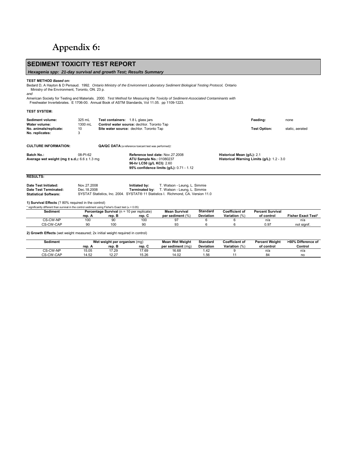# <span id="page-38-0"></span>**Appendix 6:**

| <b>SEDIMENT TOXICITY TEST REPORT</b>                                                                                                                                                                                                                                                                                                                                                                                                                              |                              |                                                                                       |                                                        |                                                                                                                                                   |                                     |                                 |                                            |                           |
|-------------------------------------------------------------------------------------------------------------------------------------------------------------------------------------------------------------------------------------------------------------------------------------------------------------------------------------------------------------------------------------------------------------------------------------------------------------------|------------------------------|---------------------------------------------------------------------------------------|--------------------------------------------------------|---------------------------------------------------------------------------------------------------------------------------------------------------|-------------------------------------|---------------------------------|--------------------------------------------|---------------------------|
| Hexagenia spp: 21-day survival and growth Test; Results Summary                                                                                                                                                                                                                                                                                                                                                                                                   |                              |                                                                                       |                                                        |                                                                                                                                                   |                                     |                                 |                                            |                           |
| <b>TEST METHOD Based on:</b><br>Bedard D, A Hayton & D Persaud. 1992. Ontario Ministry of the Environment Laboratory Sediment Biological Testing Protocol, Ontario<br>Ministry of the Environment, Toronto, ON. 23 p.<br>and<br>American Society for Testing and Materials. 2000. Test Method for Measuring the Toxicity of Sediment-Associated Contaminants with<br>Freshwater Invertebrates. E 1706-00. Annual Book of ASTM Standards, Vol 11.05. pp 1109-1223. |                              |                                                                                       |                                                        |                                                                                                                                                   |                                     |                                 |                                            |                           |
| <b>TEST SYSTEM:</b>                                                                                                                                                                                                                                                                                                                                                                                                                                               |                              |                                                                                       |                                                        |                                                                                                                                                   |                                     |                                 |                                            |                           |
| Sediment volume:                                                                                                                                                                                                                                                                                                                                                                                                                                                  | 325 mL                       | Test containers: 1.8 L glass jars                                                     |                                                        |                                                                                                                                                   |                                     |                                 | Feeding:                                   | none                      |
| Water volume:<br>No. animals/replicate:<br>No. replicates:                                                                                                                                                                                                                                                                                                                                                                                                        | 1300 mL<br>10<br>3           | Control water source: dechlor. Toronto Tap<br>Site water source: dechlor. Toronto Tap |                                                        |                                                                                                                                                   |                                     |                                 | <b>Test Option:</b>                        | static, aerated           |
| <b>CULTURE INFORMATION:</b>                                                                                                                                                                                                                                                                                                                                                                                                                                       |                              | QA/QC DATA (a reference toxicant test was performed):                                 |                                                        |                                                                                                                                                   |                                     |                                 |                                            |                           |
| Batch No.:<br>Average wet weight (mg $\pm$ s.d.): 6.6 $\pm$ 1.3 mg                                                                                                                                                                                                                                                                                                                                                                                                | 08-PI-62                     |                                                                                       | ATU Sample No.: 01080237<br>96-hr LC50 (g/L KCI): 2.60 | Reference test date: Nov.27.2008<br>95% confidence limits (g/L): 0.71 - 1.12                                                                      |                                     | Historical Mean (g/L): 2.1      | Historical Warning Limits (g/L): 1.2 - 3.0 |                           |
| <b>RESULTS:</b>                                                                                                                                                                                                                                                                                                                                                                                                                                                   |                              |                                                                                       |                                                        |                                                                                                                                                   |                                     |                                 |                                            |                           |
| Date Test Initiated:<br>Date Test Terminated:<br><b>Statistical Software:</b>                                                                                                                                                                                                                                                                                                                                                                                     | Nov.27.2008<br>Dec. 18, 2008 |                                                                                       | Initiated by:<br>Terminated by:                        | T. Watson - Leung, L. Simmie<br>T. Watson - Leung, L. Simmie<br>SYSTAT Statistics, Inc. 2004. SYSTAT® 11 Statistics I. Richmond, CA. Version 11.0 |                                     |                                 |                                            |                           |
| 1) Survival Effects (? 80% required in the control)                                                                                                                                                                                                                                                                                                                                                                                                               |                              |                                                                                       |                                                        |                                                                                                                                                   |                                     |                                 |                                            |                           |
| * significantly different than survival in the control sediment using Fisher's Exact test ( $\alpha$ = 0.05)                                                                                                                                                                                                                                                                                                                                                      |                              |                                                                                       |                                                        |                                                                                                                                                   |                                     |                                 |                                            |                           |
| <b>Sediment</b>                                                                                                                                                                                                                                                                                                                                                                                                                                                   | rep. A                       | Percentage Survival ( $n = 10$ per replicate)<br>rep. B                               | rep. C                                                 | <b>Mean Survival</b><br>per sediment (%)                                                                                                          | <b>Standard</b><br><b>Deviation</b> | Coefficient of<br>Variation (%) | <b>Percent Survival</b><br>of control      | <b>Fisher Exact Test*</b> |

| Sediment          |        | I (n = 10 per replicate)<br>Percentage Survival |        | Mean Survival    | Standard         | Coefficient of | <b>Percent Survival</b> |                           |
|-------------------|--------|-------------------------------------------------|--------|------------------|------------------|----------------|-------------------------|---------------------------|
|                   | rep. A | rep. E                                          | rep. C | per sediment (%) | <b>Deviation</b> | Variation<br>% | of control              | <b>Fisher Exact Test*</b> |
| CS-CW-NP          | 100    | 90                                              | 100    | o٦               |                  |                | n/a                     | n/a                       |
| $CS$ -<br>CW-CAF- | 90     | 100                                             |        | 93               |                  |                | 0.97                    | not signif.               |
|                   |        |                                                 |        |                  |                  |                |                         |                           |

**2) Growth Effects** (wet weight measured; 2x initial weight required in control)

| Sediment         |        | Wet weight per organism (mg) |        |                   | <b>Standard</b>  | Coefficient of | <b>Percent Weight</b> | >60% Difference of |
|------------------|--------|------------------------------|--------|-------------------|------------------|----------------|-----------------------|--------------------|
|                  | rep. A | rep. L                       | rep. ( | per sediment (mg) | <b>Deviation</b> | Variation (%)  | of control            | Control            |
| CS-CW-NP         | 15.05  | 17.29                        | 17.69  | 16.68             | 4۷.              |                | ı va                  | n/a                |
| -CW-CAF<br>$CS-$ | 4.52   | 10.07<br>، ے۔ ا              | 15.26  | 14.02             | .56              |                | 84                    | n,                 |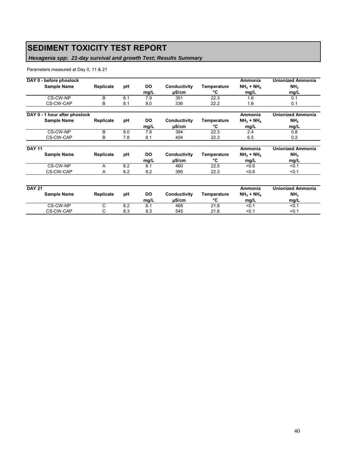## **SEDIMENT TOXICITY TEST REPORT**

### *Hexagenia spp: 21-day survival and growth Test; Results Summary*

#### Parameters measured at Day 0, 11 & 21

| DAY 0 - before phoslock       |           |     |             |                       |                   | Ammonia             | <b>Unionized Ammonia</b> |
|-------------------------------|-----------|-----|-------------|-----------------------|-------------------|---------------------|--------------------------|
| Sample Name                   | Replicate | рH  | DO.<br>mg/L | Conductivity<br>µS/cm | Temperature<br>°C | $NH3 + NH4$<br>mg/L | NH <sub>3</sub><br>mg/L  |
| CS-CW-NP                      | B         | 8.1 | 7.9         | 351                   | 22.3              | 1.6                 | 0.1                      |
| CS-CW-CAP                     | B         | 8.1 | 8.0         | 336                   | 22.2              | 1.6                 | 0.1                      |
| DAY 0 - 1 hour after phoslock |           |     |             |                       |                   | Ammonia             | <b>Unionized Ammonia</b> |
| <b>Sample Name</b>            | Replicate | рH  | <b>DO</b>   | Conductivity          | Temperature       | $NH3 + NH4$         | NH <sub>3</sub>          |
|                               |           |     | mg/L        | $\mu$ S/cm            | °C                | mg/L                | mg/L                     |
| CS-CW-NP                      | B         | 9.0 | 7.8         | 394                   | 22.3              | 2.4                 | 0.8                      |
| CS-CW-CAP                     | B         | 7.8 | 8.1         | 404                   | 22.3              | 6.5                 | 0.2                      |
| <b>DAY 11</b>                 |           |     |             |                       |                   | Ammonia             | <b>Unionized Ammonia</b> |
| <b>Sample Name</b>            | Replicate | рH  | DO.         | Conductivity          | Temperature       | $NH3 + NH4$         | NH <sub>3</sub>          |
|                               |           |     | mg/L        | $\mu$ S/cm            | °C                | mg/L                | mg/L                     |
| CS-CW-NP                      | A         | 8.2 | 8.1         | 460                   | 22.5              | $-0.6$              | < 0.1                    |
| CS-CW-CAP                     | A         | 8.2 | 8.2         | 395                   | 22.3              | 0.6                 | < 0.1                    |
| <b>DAY 21</b>                 |           |     |             |                       |                   | Ammonia             | <b>Unionized Ammonia</b> |

| DAY 21 | <b>Sample Name</b> | <b>Replicate</b> | рH  | DO<br>ma/L | Conductivity<br>uS/cm | Temperature<br>$\sim$ | Ammonia<br>$NH3 + NH4$<br>mq/L | unionized Ammonia<br>NH <sub>3</sub><br>mq/L |
|--------|--------------------|------------------|-----|------------|-----------------------|-----------------------|--------------------------------|----------------------------------------------|
|        | CS-CW-NP           |                  | 8.2 | о.         | 468                   | 21.8                  | < 0.1                          | <0.1                                         |
|        | CS-CW-CAP          |                  | 8.3 | 8.3        | 545                   | 21.6                  | < 0.1                          | < 0.1                                        |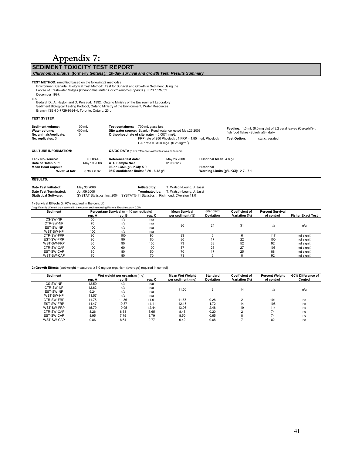## **Appendix 7:**

<span id="page-40-0"></span>**SEDIMENT TOXICITY TEST REPORT**  *Chironomus dilutus* **(formerly** *tentans* **)***: 10-day survival and growth Test; Results Summary*  TEST METHOD: (modified based on the following 2 methods)<br>Environment Canada. Biological Test Method: Test for Survival and Growth in Sediment Using the<br>Larvae of Freshwater Midges (Chironomus tentans or Chironomus riparius December 1997. *and* Bedard, D., A. Hayton and D. Persaud. 1992. Ontario Ministry of the Environment Laboratory Sediment Biological Testing Protocol, Ontario Ministry of the Environment, Water Resources Branch, ISBN 0-7729-9924-4, Toronto, Ontario. 23 p. **TEST SYSTEM: Sediment volume:** 100 mL **Test containers:** 700 mL glass jars **Water volume:** 400 mL<br> **Site water source:** Scanlon Pond water collected May.26.2008<br> **No. animals/replicate:** 10<br> **Orthophosphate of site water** = 0.0074 ma/L **No. animals/replicate:** 10 **Orthophosphate of site water** = 0.0074 mg/L **No. replicates:** 3 FRP rate of 250 Phoslock : 1 FRP = 1.85 mg/L Phoslock **Test Option:** static, aerated CAP rate = 3400 mg/L (0.25 kg/m<sup>2</sup>) **CULTURE INFORMATION: QA/QC DATA** (a KCl reference toxicant test was performed)**: Tank No./source:** ECT 08-45 **Reference test date:** May.26.2008 **Historical Mean:** 4.8 g/L Date of Hatch out: May.19.2008 **ATU Sample No.:**<br>Mean Head Capsule 96-hr LC50 (g/L K **MEAD MEAN MEAN CAPSULE 1999**<br> **Mean Historical** 96-hr LC50 (g/L KCl): 5.0 **Historical Historical Historical Width at t=0:** 0.36 ± 0.02 95% confidence limits: 3.89 - 6.43 g/L **Warning Limits (g/L KCl):** 2.7 - 7.1 **95% confidence limits:**  $3.89 - 6.43$  g/L **RESULTS: Feeding:** 1.5 mL (6.0 mg dw) of 3:2 ceral leaves (Cerophll®) : fish food flakes (Spirulina®); daily

**Date Test Initiated:** May.30.2008 **Initiated by:** T. Watson-Leung, J. Jassi **Date Test Terminated:** Jun.09.2008 **Terminated by:** T. Watson-Leung, J. Jassi **Statistical Software:** SYSTAT Statistics, Inc. 2004. SYSTAT® 11 Statistics I. Richmond, CAersion 11.0

**1) Survival Effects** (≥ 70% required in the control)

| * significantly different than survival in the control sediment using Fisher's Exact test ( $\alpha$ = 0.05) |        |                                            |        |                      |                  |                       |                         |                          |
|--------------------------------------------------------------------------------------------------------------|--------|--------------------------------------------|--------|----------------------|------------------|-----------------------|-------------------------|--------------------------|
| Sediment                                                                                                     |        | Percentage Survival (n = 10 per replicate) |        | <b>Mean Survival</b> | <b>Standard</b>  | <b>Coefficient of</b> | <b>Percent Survival</b> |                          |
|                                                                                                              | rep. A | rep. B                                     | rep. C | per sediment (%)     | <b>Deviation</b> | Variation (%)         | of control              | <b>Fisher Exact Test</b> |
| CS-SW-NP                                                                                                     | 50     | n/a                                        | n/a    |                      |                  |                       |                         |                          |
| CTR-SW-NP                                                                                                    | 70     | n/a                                        | n/a    | 80                   | 24               | 31                    | n/a                     | n/a                      |
| EST-SW-NP                                                                                                    | 100    | n/a                                        | n/a    |                      |                  |                       |                         |                          |
| WST-SW-NP                                                                                                    | 100    | n/a                                        | n/a    |                      |                  |                       |                         |                          |
| CTR-SW-FRP                                                                                                   | 90     | 100                                        | 90     | 93                   |                  |                       | 117                     | not signif.              |
| EST-SW-FRP                                                                                                   | 90     | 90                                         | 60     | 80                   |                  | 22                    | 100                     | not signif.              |
| WST-SW-FRP                                                                                                   | 30     | 90                                         | 100    | 73                   | 38               | 52                    | 92                      | not signif.              |
| CTR-SW-CAP                                                                                                   | 100    | 60                                         | 100    | 87                   | 23               | 27                    | 108                     | not signif.              |
| EST-SW-CAP                                                                                                   | 80     | 80                                         | 50     | 70                   | 17               | 25                    | 88                      | not signif.              |
| WST-SW-CAP                                                                                                   | 70     | 80                                         | 70     |                      | 6                |                       | 92                      | not signif.              |

**2) Growth Effects** (wet weight measured; ≥ 5.0 mg per organism (average) required in control)

| Sediment   |        | Wet weight per organism (mg) |        | <b>Mean Wet Weight</b> | <b>Standard</b>  | <b>Coefficient of</b> | <b>Percent Weight</b> | >60% Difference of |
|------------|--------|------------------------------|--------|------------------------|------------------|-----------------------|-----------------------|--------------------|
|            | rep. A | rep. B                       | rep. C | per sediment (mg)      | <b>Deviation</b> | Variation (%)         | of control            | Control            |
| CS-SW-NP   | 12.59  | n/a                          | n/a    |                        |                  |                       |                       |                    |
| CTR-SW-NP  | 12.62  | n/a                          | n/a    | 11.50                  |                  | 14                    | n/a                   | n/a                |
| EST-SW-NP  | 9.24   | n/a                          | n/a    |                        |                  |                       |                       |                    |
| WST-SW-NP  | 11.57  | n/a                          | n/a    |                        |                  |                       |                       |                    |
| CTR-SW-FRP | 11.75  | 11.36                        | 11.91  | 11.67                  | 0.28             |                       | 101                   | no                 |
| EST-SW-FRP | 11.47  | 10.87                        | 14.11  | 12.15                  | 1.72             | 14                    | 106                   | no                 |
| WST-SW-FRP | 15.79  | 10.95                        | 12.44  | 13.06                  | 2.48             | 19                    | 114                   | no                 |
| CTR-SW-CAP | 8.26   | 8.53                         | 8.65   | 8.48                   | 0.20             |                       | 74                    | no                 |
| EST-SW-CAP | 8.95   | 7.75                         | 8.79   | 8.50                   | 0.65             |                       | 74                    | no                 |
| WST-SW-CAP | 9.86   | 8.64                         | 9.77   | 9.42                   | 0.68             |                       | 82                    | no                 |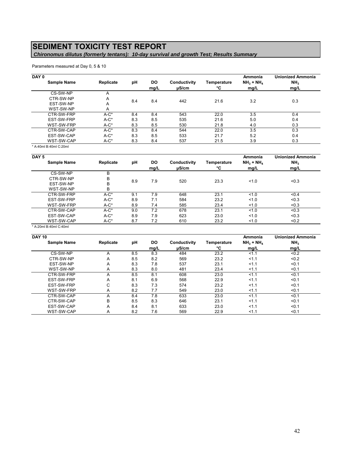## **SEDIMENT TOXICITY TEST REPORT**

 *Chironomus dilutus (formerly tentans): 10-day survival and growth Test; Results Summary* 

Parameters measured at Day 0, 5 & 10

| DAY 0              |           |     |             |                       |                   | Ammonia             | <b>Unionized Ammonia</b> |
|--------------------|-----------|-----|-------------|-----------------------|-------------------|---------------------|--------------------------|
| <b>Sample Name</b> | Replicate | pH  | DO.<br>mg/L | Conductivity<br>uS/cm | Temperature<br>°C | $NH3 + NH4$<br>mg/L | NH <sub>3</sub><br>mg/L  |
| CS-SW-NP           | A         |     |             |                       |                   |                     |                          |
| CTR-SW-NP          | A         | 8.4 | 8.4         | 442                   | 21.6              | 3.2                 | 0.3                      |
| EST-SW-NP          | A         |     |             |                       |                   |                     |                          |
| WST-SW-NP          | A         |     |             |                       |                   |                     |                          |
| CTR-SW-FRP         | $A-C^*$   | 8.4 | 8.4         | 543                   | 22.0              | 3.5                 | 0.4                      |
| EST-SW-FRP         | $A-C^*$   | 8.3 | 8.5         | 535                   | 21.6              | 5.0                 | 0.4                      |
| WST-SW-FRP         | $A-C^*$   | 8.3 | 8.5         | 530                   | 21.8              | 4.0                 | 0.3                      |
| CTR-SW-CAP         | $A-C^*$   | 8.3 | 8.4         | 544                   | 22.0              | 3.5                 | 0.3                      |
| EST-SW-CAP         | $A-C^*$   | 8.3 | 8.5         | 533                   | 21.7              | 5.2                 | 0.4                      |
| WST-SW-CAP         | $A-C^*$   | 8.3 | 8.4         | 537                   | 21.5              | 3.9                 | 0.3                      |

\* A:40ml B:40ml C:20ml

| DAY <sub>5</sub>       |           |     |                   |                            |                   | Ammonia             | <b>Unionized Ammonia</b> |
|------------------------|-----------|-----|-------------------|----------------------------|-------------------|---------------------|--------------------------|
| <b>Sample Name</b>     | Replicate | pH  | <b>DO</b><br>mg/L | Conductivity<br>$\mu$ S/cm | Temperature<br>°C | $NH3 + NH4$<br>mg/L | NH <sub>3</sub><br>mg/L  |
| CS-SW-NP               | В         |     |                   |                            |                   |                     |                          |
| CTR-SW-NP              | B         | 8.9 | 7.9               | 520                        | 23.3              | 1.0                 | < 0.3                    |
| EST-SW-NP              | B         |     |                   |                            |                   |                     |                          |
| WST-SW-NP              | B         |     |                   |                            |                   |                     |                          |
| CTR-SW-FRP             | $A-C^*$   | 9.1 | 7.9               | 648                        | 23.1              | 1.0                 | < 0.4                    |
| EST-SW-FRP             | $A-C^*$   | 8.9 | 7.1               | 584                        | 23.2              | 1.0                 | < 0.3                    |
| WST-SW-FRP             | $A-C^*$   | 8.9 | 7.4               | 585                        | 23.4              | 1.0                 | < 0.3                    |
| CTR-SW-CAP             | $A-C^*$   | 9.0 | 7.2               | 678                        | 23.1              | 1.0                 | < 0.3                    |
| EST-SW-CAP             | $A-C^*$   | 8.9 | 7.9               | 623                        | 23.0              | 1.0                 | < 0.3                    |
| WST-SW-CAP             | $A-C^*$   | 8.7 | 7.2               | 610                        | 23.2              | 1.0                 | < 0.2                    |
| * A:20ml B:40ml C:40ml |           |     |                   |                            |                   |                     |                          |

| <b>DAY 10</b>      |           |     |      |              |             | Ammonia     | <b>Unionized Ammonia</b> |
|--------------------|-----------|-----|------|--------------|-------------|-------------|--------------------------|
| <b>Sample Name</b> | Replicate | рH  | DO   | Conductivity | Temperature | $NH3 + NH4$ | NH <sub>3</sub>          |
|                    |           |     | mg/L | $\mu$ S/cm   | °C          | mg/L        | mg/L                     |
| CS-SW-NP           | A         | 8.5 | 8.3  | 484          | 23.2        | 1.1         | < 0.2                    |
| CTR-SW-NP          | A         | 8.5 | 8.2  | 569          | 23.2        | 1.1         | < 0.2                    |
| EST-SW-NP          | A         | 8.3 | 7.8  | 537          | 23.1        | 1.1         | < 0.1                    |
| WST-SW-NP          | A         | 8.3 | 8.0  | 481          | 23.4        | 1.1         | < 0.1                    |
| CTR-SW-FRP         | A         | 8.5 | 8.1  | 608          | 23.0        | 1.1         | < 0.1                    |
| EST-SW-FRP         | A         | 8.1 | 6.9  | 568          | 22.9        | 1.1         | < 0.1                    |
| EST-SW-FRP         | C         | 8.3 | 7.3  | 574          | 23.2        | 1.1         | < 0.1                    |
| WST-SW-FRP         | Α         | 8.2 | 7.7  | 549          | 23.0        | 1.1         | < 0.1                    |
| CTR-SW-CAP         | A         | 8.4 | 7.8  | 633          | 23.0        | 1.1         | < 0.1                    |
| CTR-SW-CAP         | B         | 8.5 | 8.3  | 646          | 23.1        | 1.1         | < 0.1                    |
| EST-SW-CAP         | A         | 8.4 | 8.1  | 633          | 23.0        | 1.1         | < 0.1                    |
| WST-SW-CAP         | A         | 8.2 | 7.6  | 569          | 22.9        | 1.1         | < 0.1                    |
|                    |           |     |      |              |             |             |                          |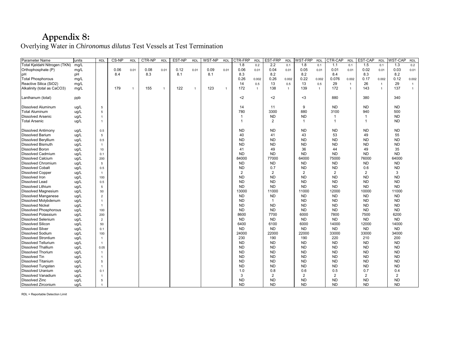## **Appendix 8:**

Overlying Water in *Chironomus dilutus* Test Vessels at Test Termination

| Parameter Name                | units | <b>RDL</b>     | CS-NP | <b>RDL</b>     | CTR-NP | <b>RDL</b>     | EST-NP | <b>RDL</b> | WST-NP | <b>RDL</b>     | CTR-FRP      | <b>RDL</b>     | EST-FRP        | <b>RDL</b>   | WST-FRP        | <b>RDL</b>   | CTR-CAP      | <b>RDL</b>   | EST-CAP        | <b>RDL</b>     | <b>WST-CAP</b> | <b>RDL</b>     |
|-------------------------------|-------|----------------|-------|----------------|--------|----------------|--------|------------|--------|----------------|--------------|----------------|----------------|--------------|----------------|--------------|--------------|--------------|----------------|----------------|----------------|----------------|
| Total Kjeldahl Nitrogen (TKN) | mg/L  |                |       |                |        |                |        |            |        |                | 1.8          | 0.2            | 2.2            | 0.1          | 1.8            | 0.1          | 1.1          | 0.1          | 1.5            | 0.1            | 1.3            | 0.2            |
| Orthophosphate (P)            | mg/L  |                | 0.06  | 0.01           | 0.08   | 0.01           | 0.12   | 0.01       | 0.09   | 0.01           | 0.06         | 0.01           | 0.04           | 0.01         | 0.05           | 0.01         | 0.01         | 0.01         | 0.02           | 0.01           | 0.03           | 0.01           |
| lpH                           | рH    |                | 8.4   |                | 8.3    |                | 8.1    |            | 8.1    |                | 8.3          |                | 8.2            |              | 8.2            |              | 8.4          |              | 8.3            |                | 8.2            |                |
| <b>Total Phosphorous</b>      | mg/L  |                |       |                |        |                |        |            |        |                | 0.26         | 0.002          | 0.26           | 0.002        | 0.22           | 0.002        | 0.076        | 0.002        | 0.17           | 0.002          | 0.12           | 0.002          |
| Reactive Silica (SiO2)        | mg/L  |                |       |                |        |                |        |            |        |                | 14           | 0.5            | 13             | 0.5          | 13             | 0.5          | 29           | $\mathbf{1}$ | 26             | $\overline{1}$ | 29             | $\overline{1}$ |
| Alkalinity (total as CaCO3)   | mg/L  |                | 179   | $\overline{1}$ | 155    | $\overline{1}$ | 122    |            | 123    | $\overline{1}$ | 172          | $\overline{1}$ | 138            | $\mathbf{1}$ | 139            | $\mathbf{1}$ | 172          | $\mathbf{1}$ | 143            | $\overline{1}$ | 137            | $\overline{1}$ |
|                               |       |                |       |                |        |                |        |            |        |                |              |                |                |              |                |              |              |              |                |                |                |                |
| Lanthanum (total)             | ppb   |                |       |                |        |                |        |            |        |                | $2$          |                | $2$            |              | $3$            |              | 880          |              | 380            |                | 340            |                |
|                               |       |                |       |                |        |                |        |            |        |                |              |                |                |              |                |              |              |              |                |                |                |                |
| Dissolved Aluminum            | ug/L  | 5              |       |                |        |                |        |            |        |                | 14           |                | 11             |              | 9              |              | <b>ND</b>    |              | <b>ND</b>      |                | <b>ND</b>      |                |
| <b>Total Aluminum</b>         | ug/L  | 5              |       |                |        |                |        |            |        |                | 780          |                | 3300           |              | 880            |              | 3100         |              | 940            |                | 500            |                |
| Dissolved Arsenic             | ug/L  | $\overline{1}$ |       |                |        |                |        |            |        |                | $\mathbf{1}$ |                | <b>ND</b>      |              | <b>ND</b>      |              |              |              | -1             |                | <b>ND</b>      |                |
| <b>Total Arsenic</b>          | ug/L  | $\overline{1}$ |       |                |        |                |        |            |        |                | $\mathbf{1}$ |                | $\overline{2}$ |              | $\mathbf{1}$   |              | $\mathbf{1}$ |              | $\overline{1}$ |                | <b>ND</b>      |                |
| <b>Dissolved Antimony</b>     | ug/L  | 0.5            |       |                |        |                |        |            |        |                | <b>ND</b>    |                | <b>ND</b>      |              | <b>ND</b>      |              | <b>ND</b>    |              | <b>ND</b>      |                | <b>ND</b>      |                |
| <b>Dissolved Barium</b>       | ug/L  | 5              |       |                |        |                |        |            |        |                | 40           |                | 41             |              | 43             |              | 53           |              | 49             |                | 55             |                |
| <b>Dissolved Beryllium</b>    | ug/L  | 0.5            |       |                |        |                |        |            |        |                | <b>ND</b>    |                | <b>ND</b>      |              | <b>ND</b>      |              | <b>ND</b>    |              | <b>ND</b>      |                | <b>ND</b>      |                |
| <b>Dissolved Bismuth</b>      | ug/L  | $\overline{1}$ |       |                |        |                |        |            |        |                | <b>ND</b>    |                | <b>ND</b>      |              | <b>ND</b>      |              | <b>ND</b>    |              | <b>ND</b>      |                | <b>ND</b>      |                |
| <b>Dissolved Boron</b>        | ug/L  | 10             |       |                |        |                |        |            |        |                | 41           |                | 49             |              | 36             |              | 44           |              | 49             |                | 35             |                |
| <b>Dissolved Cadmium</b>      | ug/L  | 0.1            |       |                |        |                |        |            |        |                | <b>ND</b>    |                | <b>ND</b>      |              | <b>ND</b>      |              | <b>ND</b>    |              | <b>ND</b>      |                | <b>ND</b>      |                |
| <b>Dissolved Calcium</b>      | ug/L  | 200            |       |                |        |                |        |            |        |                | 84000        |                | 77000          |              | 64000          |              | 75000        |              | 76000          |                | 64000          |                |
| <b>Dissolved Chromium</b>     | ug/L  | 5              |       |                |        |                |        |            |        |                | <b>ND</b>    |                | <b>ND</b>      |              | <b>ND</b>      |              | <b>ND</b>    |              | <b>ND</b>      |                | <b>ND</b>      |                |
| <b>Dissolved Cobalt</b>       | ug/L  | 0.5            |       |                |        |                |        |            |        |                | <b>ND</b>    |                | 0.7            |              | <b>ND</b>      |              | <b>ND</b>    |              | 0.6            |                | <b>ND</b>      |                |
| <b>Dissolved Copper</b>       | ug/L  | $\overline{1}$ |       |                |        |                |        |            |        |                | 2            |                | $\overline{2}$ |              | $\overline{2}$ |              | 2            |              | 2              |                | 3              |                |
| <b>Dissolved Iron</b>         | ug/L  | 100            |       |                |        |                |        |            |        |                | <b>ND</b>    |                | <b>ND</b>      |              | <b>ND</b>      |              | <b>ND</b>    |              | <b>ND</b>      |                | <b>ND</b>      |                |
| <b>Dissolved Lead</b>         | ug/L  | 0.5            |       |                |        |                |        |            |        |                | <b>ND</b>    |                | <b>ND</b>      |              | <b>ND</b>      |              | <b>ND</b>    |              | <b>ND</b>      |                | <b>ND</b>      |                |
| <b>Dissolved Lithium</b>      | ug/L  | 5              |       |                |        |                |        |            |        |                | <b>ND</b>    |                | <b>ND</b>      |              | <b>ND</b>      |              | <b>ND</b>    |              | <b>ND</b>      |                | <b>ND</b>      |                |
| Dissolved Magnesium           | ug/L  | 50             |       |                |        |                |        |            |        |                | 13000        |                | 11000          |              | 11000          |              | 12000        |              | 10000          |                | 11000          |                |
| <b>Dissolved Manganese</b>    | ug/L  | $\overline{2}$ |       |                |        |                |        |            |        |                | <b>ND</b>    |                | <b>ND</b>      |              | <b>ND</b>      |              | <b>ND</b>    |              | <b>ND</b>      |                | <b>ND</b>      |                |
| Dissolved Molybdenum          | ug/L  | $\overline{1}$ |       |                |        |                |        |            |        |                | <b>ND</b>    |                | $\mathbf{1}$   |              | <b>ND</b>      |              | <b>ND</b>    |              | <b>ND</b>      |                | <b>ND</b>      |                |
| <b>Dissolved Nickel</b>       | ug/L  | $\overline{1}$ |       |                |        |                |        |            |        |                | <b>ND</b>    |                | <b>ND</b>      |              | <b>ND</b>      |              | <b>ND</b>    |              | <b>ND</b>      |                | <b>ND</b>      |                |
| <b>Dissolved Phosphorous</b>  | ug/L  | 100            |       |                |        |                |        |            |        |                | <b>ND</b>    |                | <b>ND</b>      |              | <b>ND</b>      |              | <b>ND</b>    |              | <b>ND</b>      |                | <b>ND</b>      |                |
| <b>Dissolved Potassium</b>    | ug/L  | 200            |       |                |        |                |        |            |        |                | 8600         |                | 7700           |              | 6000           |              | 7800         |              | 7500           |                | 6200           |                |
| <b>Dissolved Selenium</b>     | ug/L  | $\overline{2}$ |       |                |        |                |        |            |        |                | <b>ND</b>    |                | <b>ND</b>      |              | <b>ND</b>      |              | <b>ND</b>    |              | <b>ND</b>      |                | <b>ND</b>      |                |
| <b>Dissolved Silicon</b>      | ug/L  | 50             |       |                |        |                |        |            |        |                | 6400         |                | 6100           |              | 6000           |              | 14000        |              | 12000          |                | 14000          |                |
| <b>Dissolved Silver</b>       | ug/L  | 0.1            |       |                |        |                |        |            |        |                | <b>ND</b>    |                | <b>ND</b>      |              | <b>ND</b>      |              | <b>ND</b>    |              | ND.            |                | ND             |                |
| Dissolved Sodium              | ug/L  | 100            |       |                |        |                |        |            |        |                | 24000        |                | 22000          |              | 22000          |              | 33000        |              | 33000          |                | 34000          |                |
| <b>Dissolved Strontium</b>    | ug/L  | $\overline{1}$ |       |                |        |                |        |            |        |                | 230          |                | 190            |              | 190            |              | 220          |              | 210            |                | 200            |                |
| Dissolved Tellurium           | ug/L  | $\overline{1}$ |       |                |        |                |        |            |        |                | <b>ND</b>    |                | <b>ND</b>      |              | <b>ND</b>      |              | <b>ND</b>    |              | ND.            |                | <b>ND</b>      |                |
| <b>Dissolved Thallium</b>     | ug/L  | 0.05           |       |                |        |                |        |            |        |                | <b>ND</b>    |                | <b>ND</b>      |              | <b>ND</b>      |              | <b>ND</b>    |              | <b>ND</b>      |                | <b>ND</b>      |                |
| Dissolved Thorium             | ug/L  | $\overline{1}$ |       |                |        |                |        |            |        |                | <b>ND</b>    |                | <b>ND</b>      |              | <b>ND</b>      |              | <b>ND</b>    |              | <b>ND</b>      |                | <b>ND</b>      |                |
| <b>Dissolved Tin</b>          | ug/L  | $\overline{1}$ |       |                |        |                |        |            |        |                | <b>ND</b>    |                | <b>ND</b>      |              | <b>ND</b>      |              | <b>ND</b>    |              | <b>ND</b>      |                | <b>ND</b>      |                |
| <b>Dissolved Titanium</b>     | ug/L  | 5              |       |                |        |                |        |            |        |                | <b>ND</b>    |                | <b>ND</b>      |              | <b>ND</b>      |              | <b>ND</b>    |              | <b>ND</b>      |                | <b>ND</b>      |                |
| <b>Dissolved Tungsten</b>     | ug/L  | $\overline{1}$ |       |                |        |                |        |            |        |                | <b>ND</b>    |                | <b>ND</b>      |              | <b>ND</b>      |              | <b>ND</b>    |              | <b>ND</b>      |                | <b>ND</b>      |                |
| Dissolved Uranium             | ug/L  | 0.1            |       |                |        |                |        |            |        |                | 1.0          |                | 0.8            |              | 0.6            |              | 0.5          |              | 0.7            |                | 0.4            |                |
| <b>Dissolved Vanadium</b>     | ug/L  | $\overline{1}$ |       |                |        |                |        |            |        |                | 3            |                | $\overline{2}$ |              | $\overline{2}$ |              | 2            |              | 2              |                | $\overline{2}$ |                |
| Dissolved Zinc                | ug/L  | 5              |       |                |        |                |        |            |        |                | <b>ND</b>    |                | <b>ND</b>      |              | <b>ND</b>      |              | <b>ND</b>    |              | <b>ND</b>      |                | <b>ND</b>      |                |
| Dissolved Zirconium           | ua/L  | $\overline{1}$ |       |                |        |                |        |            |        |                | <b>ND</b>    |                | <b>ND</b>      |              | <b>ND</b>      |              | <b>ND</b>    |              | <b>ND</b>      |                | <b>ND</b>      |                |

<span id="page-42-0"></span>RDL = Reportable Detection Limit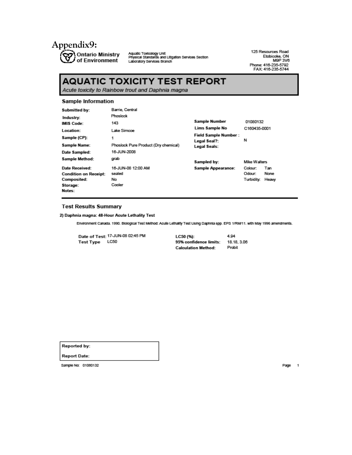

**Ontario Ministry Aqualc Toxicology Unit**<br>Of Environment <sub>Laboratory Services Branch<br>Of Environment <sub>Laboratory Services Branch</sub></sub>

125 Resources Road Etobicoke, ON<br>Etobicoke, ON<br>Phone: 416-235-5792<br>FAX: 416-235-5744

## **AQUATIC TOXICITY TEST REPORT**

Acute toxicity to Rainbow trout and Daphnia magna

#### Sample Information

| <b>Submitted by:</b>         | Barrie, Central                      |                              |              |       |
|------------------------------|--------------------------------------|------------------------------|--------------|-------|
| Industry:                    | Phoslock                             |                              |              |       |
| <b>IMIS Code:</b>            | 143                                  | Sample Number                | 01080132     |       |
| Location:                    | Lake Simcoe                          | Lims Sample No               | C160435-0001 |       |
| Sample (CP):                 | 1                                    | <b>Field Sample Number:</b>  | N            |       |
| Sample Name:                 | Phoslock Pure Product (Dry chemical) | Legal Seal?:<br>Legal Seals: |              |       |
| Date Sampled:                | 16-JUN-2008                          |                              |              |       |
| Sample Method:               | grab                                 | Sampled by:                  | Mike Walters |       |
| Date Received:               | 16-JUN-08 12:00 AM                   | <b>Sample Appearance:</b>    | Colour:      | Tan   |
| <b>Condition on Receipt:</b> | sealed                               |                              | Odour:       | None  |
| <b>Composited:</b>           | No                                   |                              | Turbidity:   | Heavy |
| Storage:                     | Cooler                               |                              |              |       |
| Notes:                       |                                      |                              |              |       |

#### **Test Results Summary**

2) Daphnia magna: 48-Hour Acute Lethality Test

Environment Canada. 1990. Biological Test Method: Acule Lethality Test Using Daphnia spp. EPS 1/RM/11. with May 1996 amendments.

|                | Date of Test: 17-JUN-08 02:45 PM | LC50 (%):                  | 4.94       |
|----------------|----------------------------------|----------------------------|------------|
| Test Type LC50 |                                  | 95% confidence limits:     | 18.18.3.06 |
|                |                                  | <b>Calculation Method:</b> | Probit     |

**Reported by:** 

**Report Date:** 

Sample No: 01080132

Page 1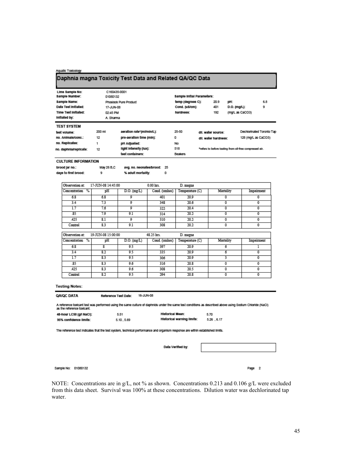#### Aquatic Toxicology

### Daphnia magna Toxicity Test Data and Related QA/QC Data

| Lims Sample No:<br>Sample Number: | 01080132  | C160435-0001              | Sample Initial Parameters: |                      |                                                         |                           |
|-----------------------------------|-----------|---------------------------|----------------------------|----------------------|---------------------------------------------------------|---------------------------|
| Sample Name:                      |           | Phosinck Pure Product     | temp (degrees C):          | 20.9                 | pH:                                                     | 6.8                       |
| Date Test Initiated:              | 17-JUN-08 |                           | Cond. (uS/cm):             | 401                  | D.O. (mg/L):                                            | 9                         |
| Time Test Initiated:              | 02:45 PM  |                           | hardness:                  | 192                  | (mg/L as CaCO3)                                         |                           |
| Initiated by:                     | A. Sharma |                           |                            |                      |                                                         |                           |
|                                   |           |                           |                            |                      |                                                         |                           |
| <b>TEST SYSTEM</b>                |           |                           |                            |                      |                                                         |                           |
| test volume:                      | 200 mi    | aeration rate*(mi/min/L): | 25-50                      | dil. water source:   |                                                         | Dechiorinated Toronto Tap |
| no. Animala/conc.:                | 12        | pre-aeration time (min):  | 0                          | dil. water hardness: |                                                         | 128 (mg/L as CaCO3)       |
| no. Replicates:                   |           | pH Adjusted:              | No                         |                      |                                                         |                           |
| no. daphnia/replicate:            | 12        | light intensity (lux):    | 518                        |                      | *refers to before testing from oil-free compressed air. |                           |

**CULTURE INFORMATION** 

| brood jar no.:       | May 26 B.C | avg. no. neonates/brood: | 25 |
|----------------------|------------|--------------------------|----|
| days to first brood: | 9          | % adult mortality:       |    |

| Observation at:    | 17-JUN-08 14:45:00 |                         | 0.00 hrs.     | D. magna        |           |            |
|--------------------|--------------------|-------------------------|---------------|-----------------|-----------|------------|
| %<br>Concentration | pH                 | $D.O.$ (mg/L)           | Cond. (umhos) | Temperature (C) | Mortality | Impairment |
| 6.8                | 6.8                | 9                       | 401           | 20.9            | 0         | 0          |
| 3.4                | 7.3                | $\overline{\mathsf{Q}}$ | 348           | 20.6            | 0         | 0          |
| 1.7                | 7.6                | 0                       | 322           | 20.4            | 0         | 0          |
| .85                | 7.9                | 9.1                     | 314           | 20.2            | 0         | 0          |
| .425               | 8.1                | 9                       | 310           | 20.2            | 0         | 0          |
| Control            | 8.3                | 9.1                     | 308           | 20.2            | 0         | 0          |
|                    |                    |                         |               |                 |           |            |
| Observation at:    | 19-JUN-08 15:00:00 |                         | 48.25 hrs.    | D. magna        |           |            |
| Concentration<br>% | pН                 | $D.O.$ (mg/L)           | Cond. (umhos) | Temperature (C) | Mortality | Impairment |
| 6.8                | 8                  | 9.5                     | 397           | 20.9            | 6         |            |
| 3.4                | 8.2                | 9.5                     | 335           | 20.9            | 6         | 0          |
| 1.7                | 8.3                | 9.5                     | 306           | 20.9            | 3         | 0          |
| .85                | 8.3                | 9.6                     | 316           | 20.8            | 0         | 0          |
| .425               | 8.3                | 9.6                     | 308           | 20.5            | 0         | 0          |
| Control            | 8.2                | 9.5                     | 294           | 20.8            | 0         | 0          |

#### **Testing Notes:**

#### QA/QC DATA Reference Test Date: 16-JUN-08

A reference toxicant test was performed using the same culture of daphnids under the same test conditions as described above using Sodium Chioride (NaCl)<br>as the reference toxicant.

| 48-hour LC50 (g/l NaCl): | 5.51       | Historical Mean:           | 5.70        |
|--------------------------|------------|----------------------------|-------------|
| 95% confidence limits:   | 5.10, 5.69 | Historical warning limits: | 5.26 . 6.17 |

The reference test indicates that the test system, technical performance and organism response are within established limits.

Data Verified by:

Sample No: 01080132

Page 2

NOTE: Concentrations are in g/L, not % as shown. Concentrations 0.213 and 0.106 g/L were excluded from this data sheet. Survival was 100% at these concentrations. Dilution water was dechlorinated tap water.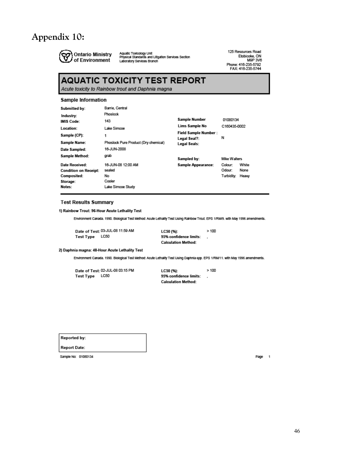## <span id="page-45-0"></span>**Appendix 10:**



Aquatic Toxicology Unit<br>Physical Standards and Litigation Services Section<br>Laboratory Services Branch

125 Resources Road Etobicoke, ON<br>M9P 3V6 wwr<br>Phone: 416-235-5792<br>FAX: 416-235-5744

## **AQUATIC TOXICITY TEST REPORT**

Acute toxicity to Rainbow trout and Daphnia magna

#### **Sample Information**

| Submitted by:                | Barrie, Central                      |                                             |              |       |
|------------------------------|--------------------------------------|---------------------------------------------|--------------|-------|
| Industry:                    | Phoslock                             |                                             |              |       |
| <b>IMIS Code:</b>            | 143                                  | <b>Sample Number</b>                        | 01080134     |       |
| Location:                    | Lake Simcoe                          | Lims Sample No                              | C160435-0002 |       |
| Sample (CP):                 | 1                                    | <b>Field Sample Number:</b><br>Legal Seal?: | Ν            |       |
| Sample Name:                 | Phoslock Pure Product (Dry chemical) | Legal Seals:                                |              |       |
| Date Sampled:                | 16-JUN-2008                          |                                             |              |       |
| Sample Method:               | grab                                 | Sampled by:                                 | Mike Walters |       |
| Date Received:               | 16-JUN-08 12:00 AM                   | Sample Appearance:                          | Colour:      | White |
| <b>Condition on Receipt:</b> | sealed                               |                                             | Odour:       | None  |
| Composited:                  | No                                   |                                             | Turbidity:   | Heavy |
| Storage:                     | Cooler                               |                                             |              |       |
| Notes:                       | Lake Simcoe Study                    |                                             |              |       |

#### **Test Results Summary**

1) Rainbow Trout: 96-Hour Acute Lethality Test

Environment Canada. 1990. Biological Test Method: Acule Lethality Test Using Rainbow Trout. EPS 1/RM/9. with May 1996 amendments.

Date of Test: 03-JUL-08 11:59 AM Test Type LC50

 $>100$ LC50 (%): 95% confidence limits:  $\ddot{\phantom{a}}$ **Calculation Method:** 

2) Daphnia magna: 48-Hour Acute Lethality Test

Environment Canada. 1990. Biological Test Method: Acule Lethality Test Using Daphnia spp. EPS 1/RM/11. with May 1996 amendments.

Date of Test: 02-JUL-08 03:15 PM Test Type LC50

 $>100$ LC50 (%): 95% confidence limits: J. **Calculation Method:** 

**Reported by:** 

**Report Date:** 

Sample No: 01080134

Page 1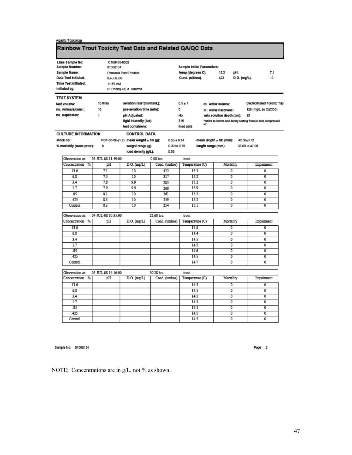| Aquatic Toxicology |  |
|--------------------|--|
|--------------------|--|

## Rainbow Trout Toxicity Test Data and Related QA/QC Data

| Lims Sample No:            | C160435-0002             |                                       |                 |                            |                          |                |                                                               |
|----------------------------|--------------------------|---------------------------------------|-----------------|----------------------------|--------------------------|----------------|---------------------------------------------------------------|
| Sample Number:             | 01080134                 |                                       |                 | Sample Initial Parameters: |                          |                |                                                               |
| Sample Name:               |                          | <b>Phosicck Pure Product</b>          |                 | temp (degrees C):          | 15.3                     | DH:            | 7.1                                                           |
| Date Test Initiated:       | 03-JUL-08                |                                       |                 | Cond. (uS/cm):             | 422                      | D.O. (mg/L):   | 10                                                            |
| Time Test Initiated:       | 11:59 AM                 |                                       |                 |                            |                          |                |                                                               |
| Initiated by:              |                          | R. Chong-Kit, A. Sharma               |                 |                            |                          |                |                                                               |
| <b>TEST SYSTEM</b>         |                          |                                       |                 |                            |                          |                |                                                               |
| test volume:               | 10 litres                | aeration rate*(mi/min/L):             |                 | $6.5 \pm 1$                | dil. water source:       |                | Dechlorinated Toronto Tap                                     |
| no. Animals/conc.:         | 10                       | pre-aeration time (min):              |                 | o                          | dil. water hardness:     |                | 128 (mg/L as CaCO3)                                           |
| no. Replicates:            | 1                        | pH Adjusted:                          |                 | No                         | min solution depth (cm): |                | 15                                                            |
|                            |                          | light intensity (lux):                |                 | 316                        |                          |                | *refers to before and during testing from oil-free compressed |
|                            |                          | test containers:                      |                 | air.<br>lined pails        |                          |                |                                                               |
| <b>CULTURE INFORMATION</b> |                          | <b>CONTROL DATA</b>                   |                 |                            |                          |                |                                                               |
| stock no.:                 |                          | RBT-08-06-(1,2) mean weight ± SD (g): | $0.53 \pm 0.14$ |                            | mean length ± SD (mm):   | 42.50±3.72     |                                                               |
| % mortality (week prior):  | 0                        | weight range (g):                     | 0.30 to 0.70    |                            | length range (mm):       |                | 33.00 to 47.00                                                |
|                            |                          | load density (g/L):                   | 0.53            |                            |                          |                |                                                               |
| Observation at:            | 03-JUL-08 11:59:00       |                                       | $0.00$ hrs.     | trout                      |                          |                |                                                               |
| Concentration<br>%         | pH                       | $D.O.$ (mg/L)                         | Cond. (umhos)   | Temperature (C)            | Mortality                |                | Impairment                                                    |
| 13.6                       | 7.1                      | $\overline{10}$                       | 422             | 15.3                       |                          | $\overline{0}$ | ō                                                             |
| 6.8                        | 75                       | $\overline{10}$                       | 317             | 15.2                       |                          | $\overline{0}$ | ō                                                             |
| 3.4                        | 7.8                      | 9.9                                   | 285             | 15.2                       |                          | 0              | 0                                                             |
| 1.7                        | 7.9                      | 9.9                                   | 268             | 15.9                       |                          | $\overline{0}$ | ō                                                             |
| .85                        | 8.1                      | 10                                    | 261             | 15.2                       |                          | 0              | 0                                                             |
| 425                        | 83                       | 10                                    | 250             | 15.2                       |                          | $\overline{0}$ | 0                                                             |
| Control                    | $\overline{\mathbf{83}}$ | $\overline{10}$                       | 254             | 151                        |                          | $\overline{0}$ | ō                                                             |
| Observation at:            | 04-JUL-08 10:35:00       |                                       | 22.60 hrs.      | trout                      |                          |                |                                                               |
| %<br>Concentration         | pH                       | $D.O.$ (mg/ $L$ )                     | Cond. (umhos)   | Temperature (C)            | Mortality                |                | Impairment                                                    |
| 13.6                       |                          |                                       |                 | 14.6                       |                          | $\overline{0}$ | o                                                             |
| 6.8                        |                          |                                       |                 | 14.4                       |                          | 0              | 0                                                             |
| 3.4                        |                          |                                       |                 | 14.5                       |                          | 0              | ٥                                                             |
| 1.7                        |                          |                                       |                 | 14.5                       |                          | 0              | 0                                                             |
| R5                         |                          |                                       |                 | 14.6                       |                          | $\overline{0}$ | ō                                                             |
| 425                        |                          |                                       |                 | 14.5                       |                          | $\overline{0}$ | 0                                                             |
| Control                    |                          |                                       |                 | 14.7                       |                          | Ō              | ō                                                             |
| Observation at:            | 05-JUL-08 14:16:00       |                                       | 50.28 hrs.      | trout                      |                          |                |                                                               |
| Concentration<br>%         | pH                       | $D.O.$ (mg/ $L$ )                     | Cond. (umhos)   | Temperature (C)            | Mortality                |                | Impairment                                                    |
| 13.6                       |                          |                                       |                 | 14.5                       |                          | 0              | 0                                                             |
| 68                         |                          |                                       |                 | 14.5                       |                          | 0              | 0                                                             |
| 3.4                        |                          |                                       |                 | 14.5                       |                          | $\overline{0}$ | ō                                                             |
| $\overline{1.7}$           |                          |                                       |                 | 14.5                       |                          | 0              | 0                                                             |
| 85                         |                          |                                       |                 | 14.5                       |                          | $\overline{0}$ | ō                                                             |
| 425                        |                          |                                       |                 | 14.5                       |                          | ō              | ō                                                             |
| Control                    |                          |                                       |                 | 14.5                       |                          | $\overline{0}$ | ō                                                             |

Sample No: 01080134

Page 2

NOTE: Concentrations are in g/L, not % as shown.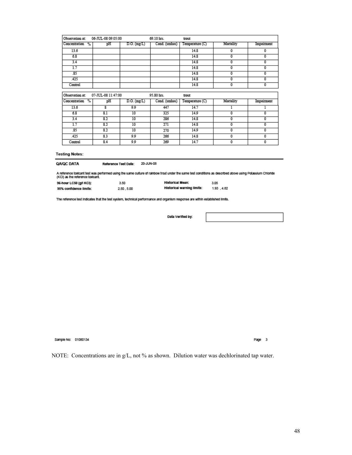| Observation at:       | 06-JUL-08 09:05:00 |               | 69.10 hrs.    | trout           |           |                         |
|-----------------------|--------------------|---------------|---------------|-----------------|-----------|-------------------------|
| Concentration<br>$\%$ | pH                 | $D.O.$ (mg/L) | Cond. (umhos) | Temperature (C) | Mortality | Impairment              |
| 13.6                  |                    |               |               | 14.8            | 0         | 0                       |
| 6.8                   |                    |               |               | 14.8            | 0         | $\overline{\mathbf{0}}$ |
| 3.4                   |                    |               |               | 14.8            | 0         | 0                       |
| 1.7                   |                    |               |               | 14.8            | 0         | 0                       |
| .85                   |                    |               |               | 14.8            | 0         | 0                       |
| .425                  |                    |               |               | 14.8            | 0         | 0                       |
| Control               |                    |               |               | 14.8            | 0         | ō                       |
|                       |                    |               |               |                 |           |                         |
| Observation at:       | 07-JUL-08 11:47:00 |               | 95.80 hrs.    | trout           |           |                         |
| Concentration<br>$\%$ | pH                 | $D.O.$ (mg/L) | Cond. (umhos) | Temperature (C) | Mortality | Impairment              |
| 13.6                  | 8                  | 9.9           | 447           | 14.7            |           | ı                       |
| 6.8                   | 8.1                | 10            | 325           | 14.9            | 0         | $\overline{\mathbf{0}}$ |
| 3.4                   | 8.2                | 10            | 286           | 14.8            | 0         | 0                       |
| 1.7                   | 8.2                | 10            | 271           | 14.8            | 0         | 0                       |
| .85                   | 8.2                | 10            | 270           | 14.9            | 0         | 0                       |
| .425                  | 8.3                | 9.9           | 266           | 14.8            | 0         | 0                       |
| Control               | 8.4                | 9.9           | 269           | 14.7            | 0         | 0                       |
|                       |                    |               |               |                 |           |                         |

#### **Testing Notes:**

#### **QA/QC DATA** Reference Test Date: 20-JUN-08

A reference toxicant test was performed using the same culture of rainbow trout under the same test conditions as described above using Potassium Chloride<br>(KCI) as the reference toxicant.

| 96-hour LC50 (g/l KCI): | 3.50      | Historical Mean:           | 3.05       |
|-------------------------|-----------|----------------------------|------------|
| 95% confidence limits:  | 2.50.5.00 | Historical warning limits: | 1.93 .4.82 |

The reference fest indicates that the fest system, technical performance and organism response are within established limits.

Data Verified by:

Sample No: 01080134

Page 3

NOTE: Concentrations are in g/L, not % as shown. Dilution water was dechlorinated tap water.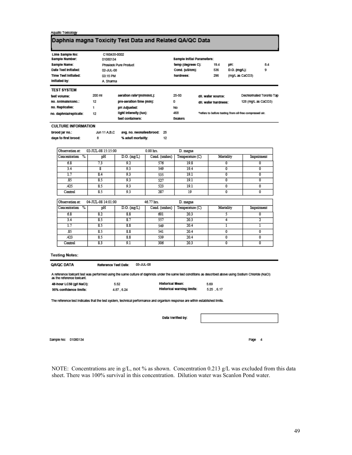### Aquatic Toxicology Daphnia magna Toxicity Test Data and Related QA/QC Data

| Lims Sample No:                | C160435-0002                        |                           |               |                                                 |                                                         |                     |                           |
|--------------------------------|-------------------------------------|---------------------------|---------------|-------------------------------------------------|---------------------------------------------------------|---------------------|---------------------------|
| Sample Number:                 | 01080134                            |                           |               | Sample Initial Parameters:<br>temp (degrees C): |                                                         |                     |                           |
| Sample Name:                   |                                     | Phosicck Pure Product     |               |                                                 | 19.4                                                    | pH:                 | 84                        |
| Date Test Initiated:           | 02-JUL-08                           |                           |               |                                                 | 536                                                     | D.O. (mg/L):        | g                         |
| Time Test Initiated:           | 03:15 PM                            |                           |               | hardness:                                       | 296                                                     | (mg/L as CaCO3)     |                           |
| Initiated by:                  | A. Sharma                           |                           |               |                                                 |                                                         |                     |                           |
| <b>TEST SYSTEM</b>             |                                     |                           |               |                                                 |                                                         |                     |                           |
| test volume:                   | 200 mi                              | aeration rate*(mi/min/L): |               | 25-50                                           | dil. water source:                                      |                     | Dechiorinated Toronto Tap |
| no. Animals/conc.:             | pre-aeration time (min):<br>12<br>n |                           |               | dil. water hardness:                            |                                                         | 128 (mg/L as CaCO3) |                           |
| no. Replicates:                | 1                                   | pH Adjusted:              |               | No                                              |                                                         |                     |                           |
| no. daphnia/replicate:         | 12                                  | light intensity (lux):    |               | 468                                             | *refers to before testing from oil-free compressed air. |                     |                           |
|                                |                                     | test containers:          |               | Beakers                                         |                                                         |                     |                           |
| <b>CULTURE INFORMATION</b>     |                                     |                           |               |                                                 |                                                         |                     |                           |
| brood jar no.:                 | Jun 11 A.B.C                        | avg. no. neonates/brood:  | 25            |                                                 |                                                         |                     |                           |
| days to first brood:           | 8                                   | % adult mortality:        | 12            |                                                 |                                                         |                     |                           |
| Observation at:                | 02-JUL-08 15:15:00                  |                           | $0.00$ hrs.   | D. magna                                        |                                                         |                     |                           |
| $\%$<br>Concentration          | pH                                  | $D.O.$ (mg/L)             | Cond. (umhos) | Temperature (C)                                 |                                                         | Mortality           | Impairment                |
| 6.8                            | 73                                  | 9.2                       | 576           | 19.8                                            |                                                         | 0                   | $\overline{0}$            |
| 3.4                            | $\overline{\mathbf{g}}$             | 9.3                       | 549           | 19.4                                            |                                                         | 0                   | 0                         |
| 1.7                            | 8.4                                 | 9.3                       | 535           | 19.1                                            |                                                         | 0                   | o                         |
| .85                            | 8.5                                 | 9.3                       | 527           | 19.1                                            |                                                         | 0                   | o                         |
| 425                            | 8.5                                 | 9.3                       | 523           | 19.1                                            |                                                         | 0                   | $^{\circ}$                |
| Control                        | 8.5                                 | 93                        | 287           | 10                                              |                                                         | 0                   | 0                         |
| Observation at:                | 04-JUL-08 14:01:00                  |                           | 46.77 hrs.    | D. magna                                        |                                                         |                     |                           |
| $\frac{9}{6}$<br>Concentration | pH                                  | $D.O.$ $(mg/L)$           | Cond. (umhos) | Temperature (C)                                 |                                                         | Mortality           | Impairment                |
| 6.8                            | 8.2                                 | 8.8                       | 601           | 20.3                                            |                                                         | 5                   | 0                         |
| 3.4                            | 8.5                                 | 8.7                       | 557           | 203                                             |                                                         | 4                   | $\overline{2}$            |
| 1.7                            | 8.5                                 | 8.8                       | 540           | 20.4                                            |                                                         | ı                   | ī                         |
| .85                            | 8.5                                 | 8.8                       | 541           | 20.4                                            |                                                         | 0                   | 0                         |
| 423                            | 85                                  | 88                        | 530           | 204                                             |                                                         | 0                   | 0                         |

#### **Testing Notes:**

Control

| Qa/QC DATA | Reference Test Date: | 05-JUL-08 |
|------------|----------------------|-----------|
|            |                      |           |

 $8.3$ 

A reference toxicant test was performed using the same culture of daphnids under the same test conditions as described above using Sodium Chioride (NaCl)<br>as the reference toxicant.

306

20.3

| 48-hour LC50 (g/l NaCl): | 5.52      | Historical Mean:           | 5.69        |
|--------------------------|-----------|----------------------------|-------------|
| 95% confidence limits:   | 4.87.6.24 | Historical warning limits: | 5.25 . 6.17 |

 $9.1$ 

The reference test indicates that the test system, technical performance and organism response are within established limits.

Data Verified by:

Sample No: 01080134

NOTE: Concentrations are in g/L, not % as shown. Concentration 0.213 g/L was excluded from this data sheet. There was 100% survival in this concentration. Dilution water was Scanlon Pond water.

 $\overline{\mathbf{0}}$ 

 $\overline{\mathbf{0}}$ 

Page 4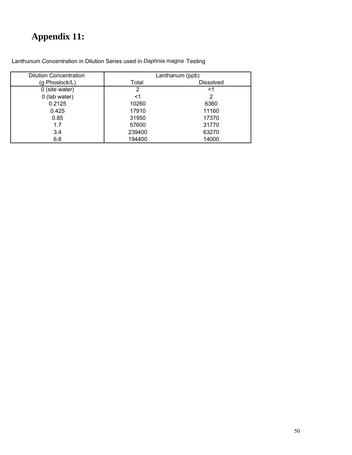# <span id="page-49-0"></span>**Appendix 11:**

| <b>Dilution Concentration</b> | Lanthanum (ppb) |                  |  |  |
|-------------------------------|-----------------|------------------|--|--|
| (g Phoslock/L)                | Total           | <b>Dissolved</b> |  |  |
| 0 (site water)                | 2               | <1               |  |  |
| 0 (lab water)                 | <1              | 2                |  |  |
| 0.2125                        | 10260           | 6360             |  |  |
| 0.425                         | 17910           | 11160            |  |  |
| 0.85                          | 31950           | 17370            |  |  |
| 1.7                           | 57600           | 31770            |  |  |
| 3.4                           | 239400          | 63270            |  |  |
| 6.8                           | 194400          | 14000            |  |  |

Lanthunum Concentration in Dilution Series used in *Daphnia magna* Testing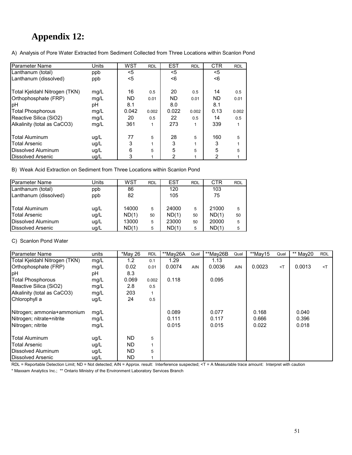## <span id="page-50-0"></span>**Appendix 12:**

A) Analysis of Pore Water Extracted from Sediment Collected from Three Locations within Scanlon Pond

| Parameter Name                | Units | WST       | <b>RDL</b> | <b>EST</b> | <b>RDL</b> | <b>CTR</b> | <b>RDL</b> |
|-------------------------------|-------|-----------|------------|------------|------------|------------|------------|
| Lanthanum (total)             | ppb   | $<$ 5     |            | $<$ 5      |            | $<$ 5      |            |
| Lanthanum (dissolved)         | ppb   | <5        |            | <6         |            | <6         |            |
| Total Kjeldahl Nitrogen (TKN) | mg/L  | 16        | 0.5        | 20         | 0.5        | 14         | 0.5        |
| Orthophosphate (FRP)          | mg/L  | <b>ND</b> | 0.01       | <b>ND</b>  | 0.01       | <b>ND</b>  | 0.01       |
| þН                            | рH    | 8.1       |            | 8.0        |            | 8.1        |            |
| <b>Total Phosphorous</b>      | mg/L  | 0.042     | 0.002      | 0.022      | 0.002      | 0.13       | 0.002      |
| Reactive Silica (SiO2)        | mg/L  | 20        | 0.5        | 22         | 0.5        | 14         | 0.5        |
| Alkalinity (total as CaCO3)   | mg/L  | 361       |            | 273        | 1          | 339        |            |
| Total Aluminum                |       | 77        | 5          | 28         |            | 160        |            |
|                               | ug/L  |           |            |            | 5          |            | 5          |
| <b>Total Arsenic</b>          | ug/L  | 3         |            | 3          | 1          | 3          |            |
| Dissolved Aluminum            | ug/L  | 6         | 5          | 5          | 5          | 5          | 5          |
| <b>I</b> Dissolved Arsenic    | ug/L  | 3         |            | 2          |            | 2          |            |

B) Weak Acid Extraction on Sediment from Three Locations within Scanlon Pond

| Parameter Name            | Units | WST   | <b>RDL</b> | EST   | <b>RDL</b> | CTR   | <b>RDL</b> |
|---------------------------|-------|-------|------------|-------|------------|-------|------------|
| Lanthanum (total)         | ppb   | 86    |            | 120   |            | 103   |            |
| Lanthanum (dissolved)     | ppb   | 82    |            | 105   |            | 75    |            |
| <b>Total Aluminum</b>     | ug/L  | 14000 | 5          | 24000 | 5          | 21000 | 5          |
| <b>Total Arsenic</b>      | ug/L  | ND(1) | 50         | ND(1) | 50         | ND(1) | 50         |
| Dissolved Aluminum        | ug/L  | 13000 | 5          | 23000 | 50         | 20000 | 5          |
| <b>IDissolved Arsenic</b> | ug/L  | ND(1) | 5          | ND(1) | 5          | ND(1) | 5          |

C) Scanlon Pond Water

| Parameter Name                | units | *May 26       | <b>RDL</b> | **May26A | Qual       | **May26B | Qual       | **Mav15 | Qual     | ** May20 | <b>RDL</b> |
|-------------------------------|-------|---------------|------------|----------|------------|----------|------------|---------|----------|----------|------------|
| Total Kjeldahl Nitrogen (TKN) | mg/L  | $1.2^{\circ}$ | 0.1        | 1.29     |            | 1.13     |            |         |          |          |            |
| Orthophosphate (FRP)          | mg/L  | 0.02          | 0.01       | 0.0074   | <b>AIN</b> | 0.0036   | <b>AIN</b> | 0.0023  | $\leq$ T | 0.0013   | $\prec$ T  |
| pH                            | рH    | 8.3           |            |          |            |          |            |         |          |          |            |
| <b>Total Phosphorous</b>      | mg/L  | 0.069         | 0.002      | 0.118    |            | 0.095    |            |         |          |          |            |
| Reactive Silica (SiO2)        | mg/L  | 2.8           | 0.5        |          |            |          |            |         |          |          |            |
| Alkalinity (total as CaCO3)   | mg/L  | 203           |            |          |            |          |            |         |          |          |            |
| Chlorophyll a                 | ug/L  | 24            | 0.5        |          |            |          |            |         |          |          |            |
| Nitrogen; ammonia+ammonium    | mg/L  |               |            | 0.089    |            | 0.077    |            | 0.168   |          | 0.040    |            |
| Nitrogen; nitrate+nitrite     | mg/L  |               |            | 0.111    |            | 0.117    |            | 0.666   |          | 0.396    |            |
| Nitrogen; nitrite             | mg/L  |               |            | 0.015    |            | 0.015    |            | 0.022   |          | 0.018    |            |
| Total Aluminum                | ug/L  | <b>ND</b>     | 5          |          |            |          |            |         |          |          |            |
| <b>Total Arsenic</b>          | ug/L  | <b>ND</b>     |            |          |            |          |            |         |          |          |            |
| Dissolved Aluminum            | ug/L  | <b>ND</b>     | 5          |          |            |          |            |         |          |          |            |
| <b>IDissolved Arsenic</b>     | ug/L  | <b>ND</b>     |            |          |            |          |            |         |          |          |            |

RDL = Reportable Detection Limit; ND = Not detected; AIN = Approx. result: Interference suspected; <T = A Measurable trace amount: Interpret with caution

\* Maxxam Analytics Inc.; \*\* Ontario Ministry of the Environment Laboratory Services Branch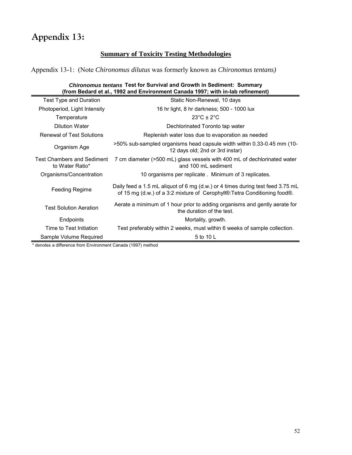## <span id="page-51-0"></span>**Appendix 13:**

## **Summary of Toxicity Testing Methodologies**

Appendix 13-1: (Note *Chironomus dilutus* was formerly known as *Chironomus tentans)* 

| <b>Chironomus tentans Test for Survival and Growth in Sediment: Summary</b><br>(from Bedard et al., 1992 and Environment Canada 1997; with in-lab refinement) |                                                                                                                                                             |  |  |  |
|---------------------------------------------------------------------------------------------------------------------------------------------------------------|-------------------------------------------------------------------------------------------------------------------------------------------------------------|--|--|--|
| Test Type and Duration                                                                                                                                        | Static Non-Renewal, 10 days                                                                                                                                 |  |  |  |
| Photoperiod, Light Intensity                                                                                                                                  | 16 hr light, 8 hr darkness; 500 - 1000 lux                                                                                                                  |  |  |  |
| Temperature                                                                                                                                                   | $23^{\circ}$ C + $2^{\circ}$ C                                                                                                                              |  |  |  |
| Dilution Water                                                                                                                                                | Dechlorinated Toronto tap water                                                                                                                             |  |  |  |
| <b>Renewal of Test Solutions</b>                                                                                                                              | Replenish water loss due to evaporation as needed                                                                                                           |  |  |  |
| Organism Age                                                                                                                                                  | >50% sub-sampled organisms head capsule width within 0.33-0.45 mm (10-<br>12 days old; 2nd or 3rd instar)                                                   |  |  |  |
| <b>Test Chambers and Sediment</b><br>to Water Ratio*                                                                                                          | 7 cm diameter (>500 mL) glass vessels with 400 mL of dechlorinated water<br>and 100 ml sediment                                                             |  |  |  |
| Organisms/Concentration                                                                                                                                       | 10 organisms per replicate. Minimum of 3 replicates.                                                                                                        |  |  |  |
| Feeding Regime                                                                                                                                                | Daily feed a 1.5 mL aliquot of 6 mg (d.w.) or 4 times during test feed 3.75 mL<br>of 15 mg (d.w.) of a 3:2 mixture of Cerophyll®: Tetra Conditioning food®. |  |  |  |
| <b>Test Solution Aeration</b>                                                                                                                                 | Aerate a minimum of 1 hour prior to adding organisms and gently aerate for<br>the duration of the test.                                                     |  |  |  |
| Endpoints                                                                                                                                                     | Mortality, growth.                                                                                                                                          |  |  |  |
| Time to Test Initiation                                                                                                                                       | Test preferably within 2 weeks, must within 6 weeks of sample collection.                                                                                   |  |  |  |
| Sample Volume Required                                                                                                                                        | 5 to 10 L                                                                                                                                                   |  |  |  |

\* denotes a difference from Environment Canada (1997) method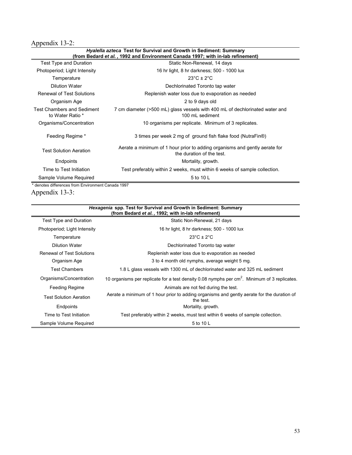## Appendix 13-2:

|                                                       | <i>Hyalella azteca</i> Test for Survival and Growth in Sediment: Summary<br>(from Bedard et al., 1992 and Environment Canada 1997; with in-lab refinement) |
|-------------------------------------------------------|------------------------------------------------------------------------------------------------------------------------------------------------------------|
| Test Type and Duration                                | Static Non-Renewal, 14 days                                                                                                                                |
| Photoperiod; Light Intensity                          | 16 hr light, 8 hr darkness; 500 - 1000 lux                                                                                                                 |
| Temperature                                           | $23^{\circ}$ C ± 2 $^{\circ}$ C                                                                                                                            |
| Dilution Water                                        | Dechlorinated Toronto tap water                                                                                                                            |
| <b>Renewal of Test Solutions</b>                      | Replenish water loss due to evaporation as needed                                                                                                          |
| Organism Age                                          | 2 to 9 days old                                                                                                                                            |
| <b>Test Chambers and Sediment</b><br>to Water Ratio * | 7 cm diameter (>500 mL) glass vessels with 400 mL of dechlorinated water and<br>100 mL sediment                                                            |
| Organisms/Concentration                               | 10 organisms per replicate. Minimum of 3 replicates.                                                                                                       |
| Feeding Regime *                                      | 3 times per week 2 mg of ground fish flake food (NutraFin®)                                                                                                |
| <b>Test Solution Aeration</b>                         | Aerate a minimum of 1 hour prior to adding organisms and gently aerate for<br>the duration of the test.                                                    |
| Endpoints                                             | Mortality, growth.                                                                                                                                         |
| Time to Test Initiation                               | Test preferably within 2 weeks, must within 6 weeks of sample collection.                                                                                  |
| Sample Volume Required                                | 5 to 10 L                                                                                                                                                  |
| * denotes differences from Environment Canada 1997    |                                                                                                                                                            |

*Hyalella azteca* **Test for Survival and Growth in Sediment: Summary**

Appendix 13-3:

| <i>Hexagenia</i> spp. Test for Survival and Growth in Sediment: Summary<br>(from Bedard et al., 1992; with in-lab refinement) |                                                                                                          |  |  |  |
|-------------------------------------------------------------------------------------------------------------------------------|----------------------------------------------------------------------------------------------------------|--|--|--|
| Test Type and Duration                                                                                                        | Static Non-Renewal, 21 days                                                                              |  |  |  |
| Photoperiod; Light Intensity                                                                                                  | 16 hr light, 8 hr darkness; 500 - 1000 lux                                                               |  |  |  |
| Temperature                                                                                                                   | $23^{\circ}$ C ± 2 $^{\circ}$ C                                                                          |  |  |  |
| <b>Dilution Water</b>                                                                                                         | Dechlorinated Toronto tap water                                                                          |  |  |  |
| <b>Renewal of Test Solutions</b>                                                                                              | Replenish water loss due to evaporation as needed                                                        |  |  |  |
| Organism Age                                                                                                                  | 3 to 4 month old nymphs, average weight 5 mg.                                                            |  |  |  |
| <b>Test Chambers</b>                                                                                                          | 1.8 L glass vessels with 1300 mL of dechlorinated water and 325 mL sediment                              |  |  |  |
| Organisms/Concentration                                                                                                       | 10 organisms per replicate for a test density 0.08 nymphs per cm <sup>2</sup> . Minimum of 3 replicates. |  |  |  |
| <b>Feeding Regime</b>                                                                                                         | Animals are not fed during the test.                                                                     |  |  |  |
| <b>Test Solution Aeration</b>                                                                                                 | Aerate a minimum of 1 hour prior to adding organisms and gently aerate for the duration of<br>the test.  |  |  |  |
| Endpoints                                                                                                                     | Mortality, growth.                                                                                       |  |  |  |
| Time to Test Initiation                                                                                                       | Test preferably within 2 weeks, must test within 6 weeks of sample collection.                           |  |  |  |
| Sample Volume Required                                                                                                        | 5 to 10 L                                                                                                |  |  |  |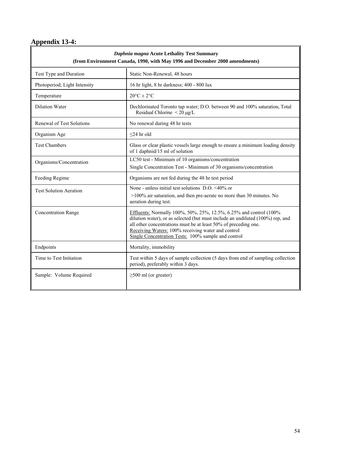# **Appendix 13-4:**

| Daphnia magna Acute Lethality Test Summary<br>(from Environment Canada, 1990, with May 1996 and December 2000 amendments) |                                                                                                                                                                                                                                                                                                                                      |  |  |  |
|---------------------------------------------------------------------------------------------------------------------------|--------------------------------------------------------------------------------------------------------------------------------------------------------------------------------------------------------------------------------------------------------------------------------------------------------------------------------------|--|--|--|
| Test Type and Duration                                                                                                    | Static Non-Renewal, 48 hours                                                                                                                                                                                                                                                                                                         |  |  |  |
| Photoperiod; Light Intensity                                                                                              | 16 hr light, 8 hr darkness; 400 - 800 lux                                                                                                                                                                                                                                                                                            |  |  |  |
| Temperature                                                                                                               | $20^{\circ}$ C $\pm 2^{\circ}$ C                                                                                                                                                                                                                                                                                                     |  |  |  |
| <b>Dilution Water</b>                                                                                                     | Dechlorinated Toronto tap water; D.O. between 90 and 100% saturation, Total<br>Residual Chlorine $\leq 20 \mu g/L$                                                                                                                                                                                                                   |  |  |  |
| Renewal of Test Solutions                                                                                                 | No renewal during 48 hr tests                                                                                                                                                                                                                                                                                                        |  |  |  |
| Organism Age                                                                                                              | $<$ 24 hr old                                                                                                                                                                                                                                                                                                                        |  |  |  |
| <b>Test Chambers</b>                                                                                                      | Glass or clear plastic vessels large enough to ensure a minimum loading density<br>of 1 daphnid/15 ml of solution                                                                                                                                                                                                                    |  |  |  |
| Organisms/Concentration                                                                                                   | LC50 test - Minimum of 10 organisms/concentration<br>Single Concentration Test - Minimum of 30 organisms/concentration                                                                                                                                                                                                               |  |  |  |
| Feeding Regime                                                                                                            | Organisms are not fed during the 48 hr test period                                                                                                                                                                                                                                                                                   |  |  |  |
| <b>Test Solution Aeration</b>                                                                                             | None - unless initial test solutions D.O. <40% or<br>>100% air saturation, and then pre-aerate no more than 30 minutes. No<br>aeration during test.                                                                                                                                                                                  |  |  |  |
| <b>Concentration Range</b>                                                                                                | Effluents: Normally 100%, 50%, 25%, 12.5%, 6.25% and control (100%<br>dilution water), or as selected (but must include an undiluted (100%) rep, and<br>all other concentrations must be at least 50% of preceding one.<br>Receiving Waters: 100% receiving water and control<br>Single Concentration Tests: 100% sample and control |  |  |  |
| Endpoints                                                                                                                 | Mortality, immobility                                                                                                                                                                                                                                                                                                                |  |  |  |
| Time to Test Initiation                                                                                                   | Test within 5 days of sample collection (5 days from end of sampling collection<br>period), preferably within 3 days.                                                                                                                                                                                                                |  |  |  |
| Sample: Volume Required                                                                                                   | $\geq$ 500 ml (or greater)                                                                                                                                                                                                                                                                                                           |  |  |  |